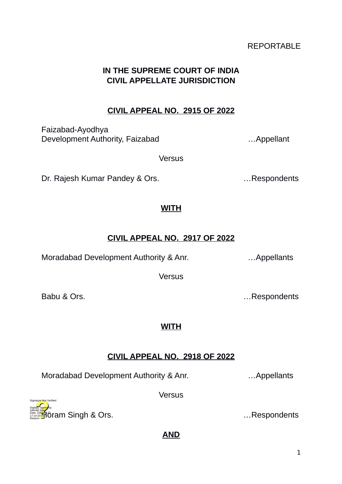# REPORTABLE

# **IN THE SUPREME COURT OF INDIA CIVIL APPELLATE JURISDICTION**

# **CIVIL APPEAL NO. 2915 OF 2022**

Faizabad-Ayodhya Development Authority, Faizabad **Example 2018** ... Appellant

**Versus** 

Dr. Rajesh Kumar Pandey & Ors. **Example 20** metals and the Respondents

## **WITH**

# **CIVIL APPEAL NO. 2917 OF 2022**

Moradabad Development Authority & Anr. …Appellants

**Versus** 

# **WITH**

# **CIVIL APPEAL NO. 2918 OF 2022**

Moradabad Development Authority & Anr. …Appellants

**Versus** 

**AND**

**H**oram Singh & Ors. **Example 2** is a set of the set of the set of the set of the set of the set of the set of th

Babu & Ors. **Example 20** and the contract of the contract of the contract of the contract of the contract of the contract of the contract of the contract of the contract of the contract of the contract of the contract of t

Digitally signed by Jatinder Kaur Date: 2022.01.20 17:14:33<sup>1ST</sup> Reason: Signature Not Verified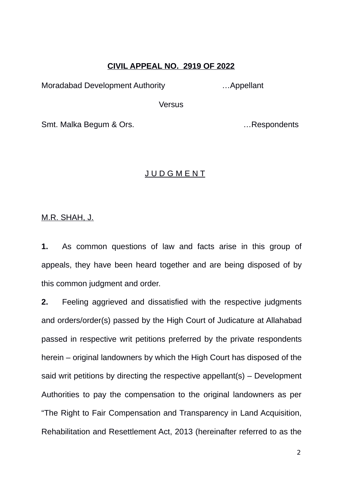#### **CIVIL APPEAL NO. 2919 OF 2022**

Moradabad Development Authority …Appellant

**Versus** 

Smt. Malka Begum & Ors. **Example 20** in the second section of the second section of the second section of the second section of the second section of the second section of the second section of the second section of the se

### J U D G M E N T

M.R. SHAH, J.

**1.** As common questions of law and facts arise in this group of appeals, they have been heard together and are being disposed of by this common judgment and order.

**2.** Feeling aggrieved and dissatisfied with the respective judgments and orders/order(s) passed by the High Court of Judicature at Allahabad passed in respective writ petitions preferred by the private respondents herein – original landowners by which the High Court has disposed of the said writ petitions by directing the respective appellant(s) – Development Authorities to pay the compensation to the original landowners as per "The Right to Fair Compensation and Transparency in Land Acquisition, Rehabilitation and Resettlement Act, 2013 (hereinafter referred to as the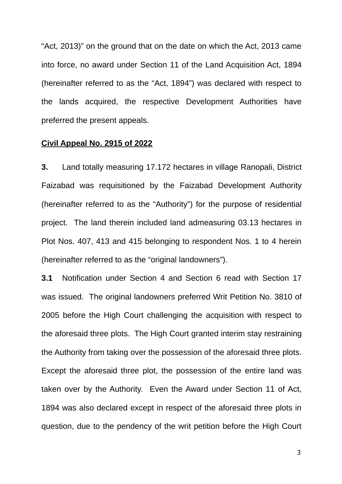"Act, 2013)" on the ground that on the date on which the Act, 2013 came into force, no award under Section 11 of the Land Acquisition Act, 1894 (hereinafter referred to as the "Act, 1894") was declared with respect to the lands acquired, the respective Development Authorities have preferred the present appeals.

#### **Civil Appeal No. 2915 of 2022**

**3.** Land totally measuring 17.172 hectares in village Ranopali, District Faizabad was requisitioned by the Faizabad Development Authority (hereinafter referred to as the "Authority") for the purpose of residential project. The land therein included land admeasuring 03.13 hectares in Plot Nos. 407, 413 and 415 belonging to respondent Nos. 1 to 4 herein (hereinafter referred to as the "original landowners").

**3.1** Notification under Section 4 and Section 6 read with Section 17 was issued. The original landowners preferred Writ Petition No. 3810 of 2005 before the High Court challenging the acquisition with respect to the aforesaid three plots. The High Court granted interim stay restraining the Authority from taking over the possession of the aforesaid three plots. Except the aforesaid three plot, the possession of the entire land was taken over by the Authority. Even the Award under Section 11 of Act, 1894 was also declared except in respect of the aforesaid three plots in question, due to the pendency of the writ petition before the High Court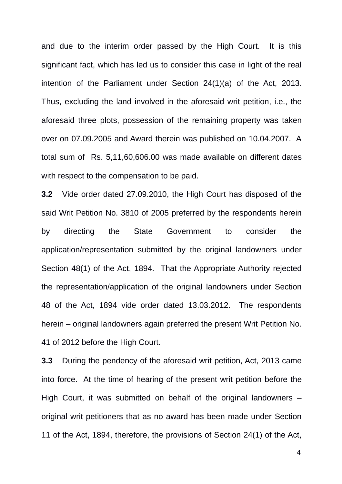and due to the interim order passed by the High Court. It is this significant fact, which has led us to consider this case in light of the real intention of the Parliament under Section 24(1)(a) of the Act, 2013. Thus, excluding the land involved in the aforesaid writ petition, i.e., the aforesaid three plots, possession of the remaining property was taken over on 07.09.2005 and Award therein was published on 10.04.2007. A total sum of Rs. 5,11,60,606.00 was made available on different dates with respect to the compensation to be paid.

**3.2** Vide order dated 27.09.2010, the High Court has disposed of the said Writ Petition No. 3810 of 2005 preferred by the respondents herein by directing the State Government to consider the application/representation submitted by the original landowners under Section 48(1) of the Act, 1894. That the Appropriate Authority rejected the representation/application of the original landowners under Section 48 of the Act, 1894 vide order dated 13.03.2012. The respondents herein – original landowners again preferred the present Writ Petition No. 41 of 2012 before the High Court.

**3.3** During the pendency of the aforesaid writ petition, Act, 2013 came into force. At the time of hearing of the present writ petition before the High Court, it was submitted on behalf of the original landowners – original writ petitioners that as no award has been made under Section 11 of the Act, 1894, therefore, the provisions of Section 24(1) of the Act,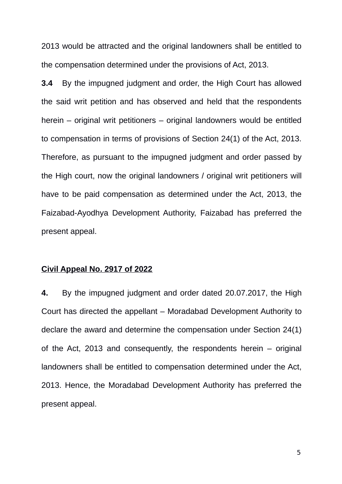2013 would be attracted and the original landowners shall be entitled to the compensation determined under the provisions of Act, 2013.

**3.4** By the impugned judgment and order, the High Court has allowed the said writ petition and has observed and held that the respondents herein – original writ petitioners – original landowners would be entitled to compensation in terms of provisions of Section 24(1) of the Act, 2013. Therefore, as pursuant to the impugned judgment and order passed by the High court, now the original landowners / original writ petitioners will have to be paid compensation as determined under the Act, 2013, the Faizabad-Ayodhya Development Authority, Faizabad has preferred the present appeal.

### **Civil Appeal No. 2917 of 2022**

**4.** By the impugned judgment and order dated 20.07.2017, the High Court has directed the appellant – Moradabad Development Authority to declare the award and determine the compensation under Section 24(1) of the Act, 2013 and consequently, the respondents herein – original landowners shall be entitled to compensation determined under the Act, 2013. Hence, the Moradabad Development Authority has preferred the present appeal.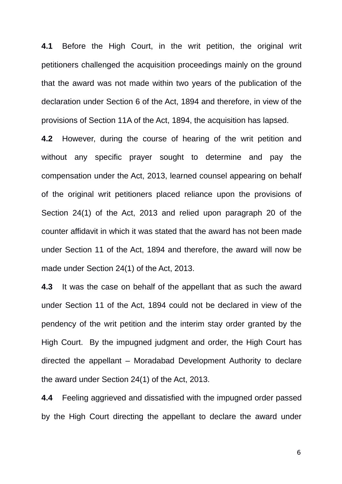**4.1** Before the High Court, in the writ petition, the original writ petitioners challenged the acquisition proceedings mainly on the ground that the award was not made within two years of the publication of the declaration under Section 6 of the Act, 1894 and therefore, in view of the provisions of Section 11A of the Act, 1894, the acquisition has lapsed.

**4.2** However, during the course of hearing of the writ petition and without any specific prayer sought to determine and pay the compensation under the Act, 2013, learned counsel appearing on behalf of the original writ petitioners placed reliance upon the provisions of Section 24(1) of the Act, 2013 and relied upon paragraph 20 of the counter affidavit in which it was stated that the award has not been made under Section 11 of the Act, 1894 and therefore, the award will now be made under Section 24(1) of the Act, 2013.

**4.3** It was the case on behalf of the appellant that as such the award under Section 11 of the Act, 1894 could not be declared in view of the pendency of the writ petition and the interim stay order granted by the High Court. By the impugned judgment and order, the High Court has directed the appellant – Moradabad Development Authority to declare the award under Section 24(1) of the Act, 2013.

**4.4** Feeling aggrieved and dissatisfied with the impugned order passed by the High Court directing the appellant to declare the award under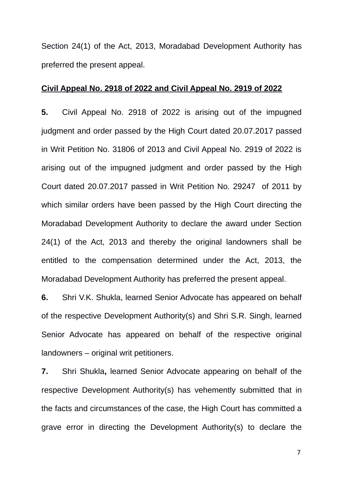Section 24(1) of the Act, 2013, Moradabad Development Authority has preferred the present appeal.

#### **Civil Appeal No. 2918 of 2022 and Civil Appeal No. 2919 of 2022**

**5.** Civil Appeal No. 2918 of 2022 is arising out of the impugned judgment and order passed by the High Court dated 20.07.2017 passed in Writ Petition No. 31806 of 2013 and Civil Appeal No. 2919 of 2022 is arising out of the impugned judgment and order passed by the High Court dated 20.07.2017 passed in Writ Petition No. 29247 of 2011 by which similar orders have been passed by the High Court directing the Moradabad Development Authority to declare the award under Section 24(1) of the Act, 2013 and thereby the original landowners shall be entitled to the compensation determined under the Act, 2013, the Moradabad Development Authority has preferred the present appeal.

**6.** Shri V.K. Shukla, learned Senior Advocate has appeared on behalf of the respective Development Authority(s) and Shri S.R. Singh, learned Senior Advocate has appeared on behalf of the respective original landowners – original writ petitioners.

**7.** Shri Shukla**,** learned Senior Advocate appearing on behalf of the respective Development Authority(s) has vehemently submitted that in the facts and circumstances of the case, the High Court has committed a grave error in directing the Development Authority(s) to declare the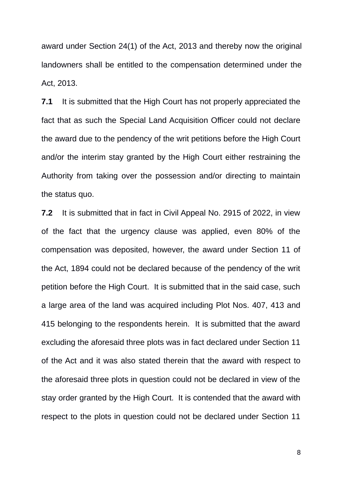award under Section 24(1) of the Act, 2013 and thereby now the original landowners shall be entitled to the compensation determined under the Act, 2013.

**7.1** It is submitted that the High Court has not properly appreciated the fact that as such the Special Land Acquisition Officer could not declare the award due to the pendency of the writ petitions before the High Court and/or the interim stay granted by the High Court either restraining the Authority from taking over the possession and/or directing to maintain the status quo.

**7.2** It is submitted that in fact in Civil Appeal No. 2915 of 2022, in view of the fact that the urgency clause was applied, even 80% of the compensation was deposited, however, the award under Section 11 of the Act, 1894 could not be declared because of the pendency of the writ petition before the High Court. It is submitted that in the said case, such a large area of the land was acquired including Plot Nos. 407, 413 and 415 belonging to the respondents herein. It is submitted that the award excluding the aforesaid three plots was in fact declared under Section 11 of the Act and it was also stated therein that the award with respect to the aforesaid three plots in question could not be declared in view of the stay order granted by the High Court. It is contended that the award with respect to the plots in question could not be declared under Section 11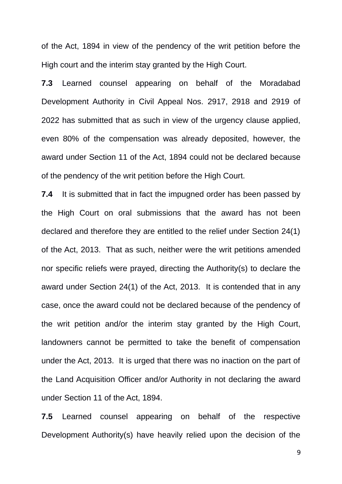of the Act, 1894 in view of the pendency of the writ petition before the High court and the interim stay granted by the High Court.

**7.3** Learned counsel appearing on behalf of the Moradabad Development Authority in Civil Appeal Nos. 2917, 2918 and 2919 of 2022 has submitted that as such in view of the urgency clause applied, even 80% of the compensation was already deposited, however, the award under Section 11 of the Act, 1894 could not be declared because of the pendency of the writ petition before the High Court.

**7.4** It is submitted that in fact the impugned order has been passed by the High Court on oral submissions that the award has not been declared and therefore they are entitled to the relief under Section 24(1) of the Act, 2013. That as such, neither were the writ petitions amended nor specific reliefs were prayed, directing the Authority(s) to declare the award under Section 24(1) of the Act, 2013. It is contended that in any case, once the award could not be declared because of the pendency of the writ petition and/or the interim stay granted by the High Court, landowners cannot be permitted to take the benefit of compensation under the Act, 2013. It is urged that there was no inaction on the part of the Land Acquisition Officer and/or Authority in not declaring the award under Section 11 of the Act, 1894.

**7.5** Learned counsel appearing on behalf of the respective Development Authority(s) have heavily relied upon the decision of the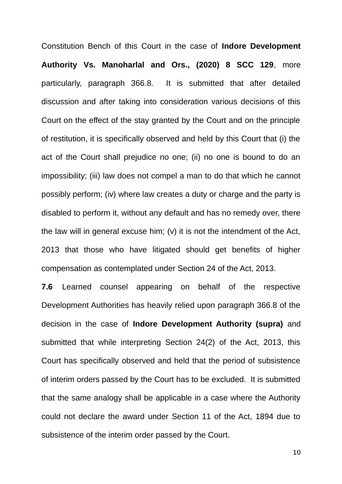Constitution Bench of this Court in the case of **Indore Development Authority Vs. Manoharlal and Ors., (2020) 8 SCC 129**, more particularly, paragraph 366.8. It is submitted that after detailed discussion and after taking into consideration various decisions of this Court on the effect of the stay granted by the Court and on the principle of restitution, it is specifically observed and held by this Court that (i) the act of the Court shall prejudice no one; (ii) no one is bound to do an impossibility; (iii) law does not compel a man to do that which he cannot possibly perform; (iv) where law creates a duty or charge and the party is disabled to perform it, without any default and has no remedy over, there the law will in general excuse him; (v) it is not the intendment of the Act, 2013 that those who have litigated should get benefits of higher compensation as contemplated under Section 24 of the Act, 2013.

**7.6** Learned counsel appearing on behalf of the respective Development Authorities has heavily relied upon paragraph 366.8 of the decision in the case of **Indore Development Authority (supra)** and submitted that while interpreting Section 24(2) of the Act, 2013, this Court has specifically observed and held that the period of subsistence of interim orders passed by the Court has to be excluded. It is submitted that the same analogy shall be applicable in a case where the Authority could not declare the award under Section 11 of the Act, 1894 due to subsistence of the interim order passed by the Court.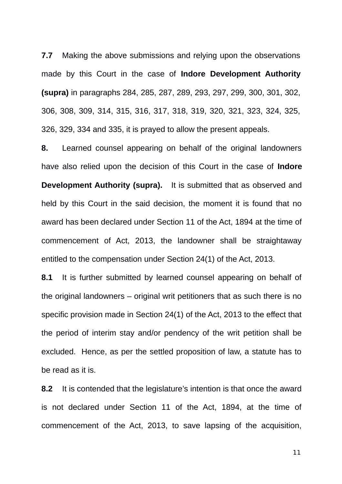**7.7** Making the above submissions and relying upon the observations made by this Court in the case of **Indore Development Authority (supra)** in paragraphs 284, 285, 287, 289, 293, 297, 299, 300, 301, 302, 306, 308, 309, 314, 315, 316, 317, 318, 319, 320, 321, 323, 324, 325, 326, 329, 334 and 335, it is prayed to allow the present appeals.

**8.** Learned counsel appearing on behalf of the original landowners have also relied upon the decision of this Court in the case of **Indore Development Authority (supra).** It is submitted that as observed and held by this Court in the said decision, the moment it is found that no award has been declared under Section 11 of the Act, 1894 at the time of commencement of Act, 2013, the landowner shall be straightaway entitled to the compensation under Section 24(1) of the Act, 2013.

**8.1** It is further submitted by learned counsel appearing on behalf of the original landowners – original writ petitioners that as such there is no specific provision made in Section 24(1) of the Act, 2013 to the effect that the period of interim stay and/or pendency of the writ petition shall be excluded. Hence, as per the settled proposition of law, a statute has to be read as it is.

**8.2** It is contended that the legislature's intention is that once the award is not declared under Section 11 of the Act, 1894, at the time of commencement of the Act, 2013, to save lapsing of the acquisition,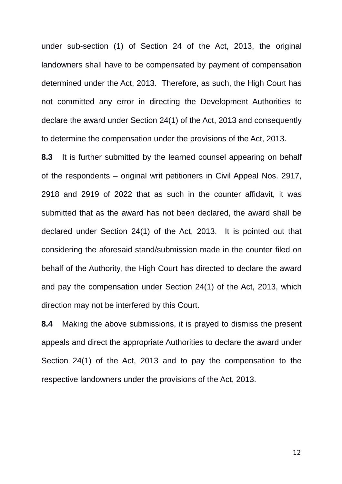under sub-section (1) of Section 24 of the Act, 2013, the original landowners shall have to be compensated by payment of compensation determined under the Act, 2013. Therefore, as such, the High Court has not committed any error in directing the Development Authorities to declare the award under Section 24(1) of the Act, 2013 and consequently to determine the compensation under the provisions of the Act, 2013.

**8.3** It is further submitted by the learned counsel appearing on behalf of the respondents – original writ petitioners in Civil Appeal Nos. 2917, 2918 and 2919 of 2022 that as such in the counter affidavit, it was submitted that as the award has not been declared, the award shall be declared under Section 24(1) of the Act, 2013. It is pointed out that considering the aforesaid stand/submission made in the counter filed on behalf of the Authority, the High Court has directed to declare the award and pay the compensation under Section 24(1) of the Act, 2013, which direction may not be interfered by this Court.

**8.4** Making the above submissions, it is prayed to dismiss the present appeals and direct the appropriate Authorities to declare the award under Section 24(1) of the Act, 2013 and to pay the compensation to the respective landowners under the provisions of the Act, 2013.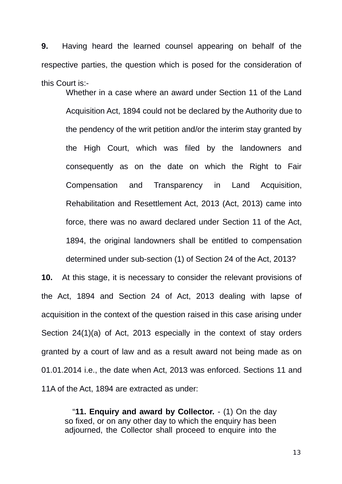**9.** Having heard the learned counsel appearing on behalf of the respective parties, the question which is posed for the consideration of this Court is:-

Whether in a case where an award under Section 11 of the Land Acquisition Act, 1894 could not be declared by the Authority due to the pendency of the writ petition and/or the interim stay granted by the High Court, which was filed by the landowners and consequently as on the date on which the Right to Fair Compensation and Transparency in Land Acquisition, Rehabilitation and Resettlement Act, 2013 (Act, 2013) came into force, there was no award declared under Section 11 of the Act, 1894, the original landowners shall be entitled to compensation determined under sub-section (1) of Section 24 of the Act, 2013?

**10.** At this stage, it is necessary to consider the relevant provisions of the Act, 1894 and Section 24 of Act, 2013 dealing with lapse of acquisition in the context of the question raised in this case arising under Section 24(1)(a) of Act, 2013 especially in the context of stay orders granted by a court of law and as a result award not being made as on 01.01.2014 i.e., the date when Act, 2013 was enforced. Sections 11 and 11A of the Act, 1894 are extracted as under:

"**11. Enquiry and award by Collector.** - (1) On the day so fixed, or on any other day to which the enquiry has been adjourned, the Collector shall proceed to enquire into the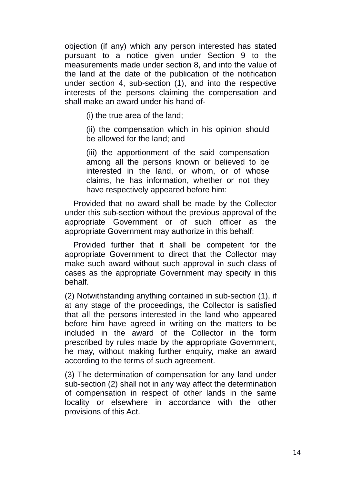objection (if any) which any person interested has stated pursuant to a notice given under Section 9 to the measurements made under section 8, and into the value of the land at the date of the publication of the notification under section 4, sub-section (1), and into the respective interests of the persons claiming the compensation and shall make an award under his hand of-

(i) the true area of the land;

(ii) the compensation which in his opinion should be allowed for the land; and

(iii) the apportionment of the said compensation among all the persons known or believed to be interested in the land, or whom, or of whose claims, he has information, whether or not they have respectively appeared before him:

Provided that no award shall be made by the Collector under this sub-section without the previous approval of the appropriate Government or of such officer as the appropriate Government may authorize in this behalf:

Provided further that it shall be competent for the appropriate Government to direct that the Collector may make such award without such approval in such class of cases as the appropriate Government may specify in this behalf.

(2) Notwithstanding anything contained in sub-section (1), if at any stage of the proceedings, the Collector is satisfied that all the persons interested in the land who appeared before him have agreed in writing on the matters to be included in the award of the Collector in the form prescribed by rules made by the appropriate Government, he may, without making further enquiry, make an award according to the terms of such agreement.

(3) The determination of compensation for any land under sub-section (2) shall not in any way affect the determination of compensation in respect of other lands in the same locality or elsewhere in accordance with the other provisions of this Act.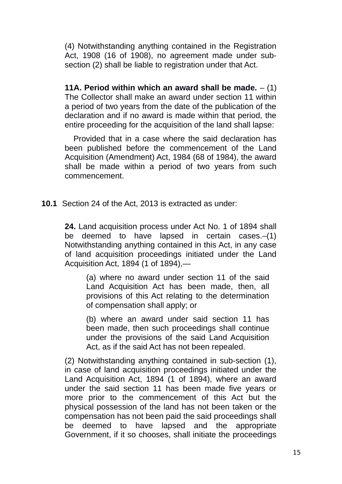(4) Notwithstanding anything contained in the Registration Act, 1908 (16 of 1908), no agreement made under subsection (2) shall be liable to registration under that Act.

**11A. Period within which an award shall be made.** – (1) The Collector shall make an award under section 11 within a period of two years from the date of the publication of the declaration and if no award is made within that period, the entire proceeding for the acquisition of the land shall lapse:

Provided that in a case where the said declaration has been published before the commencement of the Land Acquisition (Amendment) Act, 1984 (68 of 1984), the award shall be made within a period of two years from such commencement.

**10.1** Section 24 of the Act, 2013 is extracted as under:

**24.** Land acquisition process under Act No. 1 of 1894 shall be deemed to have lapsed in certain cases.–(1) Notwithstanding anything contained in this Act, in any case of land acquisition proceedings initiated under the Land Acquisition Act, 1894 (1 of 1894),—

(a) where no award under section 11 of the said Land Acquisition Act has been made, then, all provisions of this Act relating to the determination of compensation shall apply; or

(b) where an award under said section 11 has been made, then such proceedings shall continue under the provisions of the said Land Acquisition Act, as if the said Act has not been repealed.

(2) Notwithstanding anything contained in sub-section (1), in case of land acquisition proceedings initiated under the Land Acquisition Act, 1894 (1 of 1894), where an award under the said section 11 has been made five years or more prior to the commencement of this Act but the physical possession of the land has not been taken or the compensation has not been paid the said proceedings shall be deemed to have lapsed and the appropriate Government, if it so chooses, shall initiate the proceedings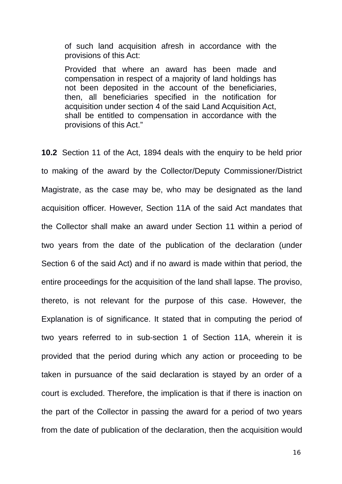of such land acquisition afresh in accordance with the provisions of this Act:

Provided that where an award has been made and compensation in respect of a majority of land holdings has not been deposited in the account of the beneficiaries, then, all beneficiaries specified in the notification for acquisition under section 4 of the said Land Acquisition Act, shall be entitled to compensation in accordance with the provisions of this Act."

**10.2** Section 11 of the Act, 1894 deals with the enquiry to be held prior to making of the award by the Collector/Deputy Commissioner/District Magistrate, as the case may be, who may be designated as the land acquisition officer. However, Section 11A of the said Act mandates that the Collector shall make an award under Section 11 within a period of two years from the date of the publication of the declaration (under Section 6 of the said Act) and if no award is made within that period, the entire proceedings for the acquisition of the land shall lapse. The proviso, thereto, is not relevant for the purpose of this case. However, the Explanation is of significance. It stated that in computing the period of two years referred to in sub-section 1 of Section 11A, wherein it is provided that the period during which any action or proceeding to be taken in pursuance of the said declaration is stayed by an order of a court is excluded. Therefore, the implication is that if there is inaction on the part of the Collector in passing the award for a period of two years from the date of publication of the declaration, then the acquisition would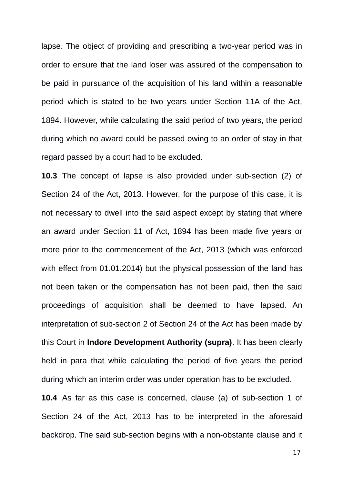lapse. The object of providing and prescribing a two-year period was in order to ensure that the land loser was assured of the compensation to be paid in pursuance of the acquisition of his land within a reasonable period which is stated to be two years under Section 11A of the Act, 1894. However, while calculating the said period of two years, the period during which no award could be passed owing to an order of stay in that regard passed by a court had to be excluded.

**10.3** The concept of lapse is also provided under sub-section (2) of Section 24 of the Act, 2013. However, for the purpose of this case, it is not necessary to dwell into the said aspect except by stating that where an award under Section 11 of Act, 1894 has been made five years or more prior to the commencement of the Act, 2013 (which was enforced with effect from 01.01.2014) but the physical possession of the land has not been taken or the compensation has not been paid, then the said proceedings of acquisition shall be deemed to have lapsed. An interpretation of sub-section 2 of Section 24 of the Act has been made by this Court in **Indore Development Authority (supra)**. It has been clearly held in para that while calculating the period of five years the period during which an interim order was under operation has to be excluded.

**10.4** As far as this case is concerned, clause (a) of sub-section 1 of Section 24 of the Act, 2013 has to be interpreted in the aforesaid backdrop. The said sub-section begins with a non-obstante clause and it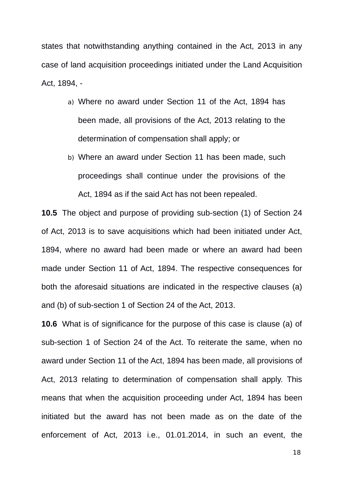states that notwithstanding anything contained in the Act, 2013 in any case of land acquisition proceedings initiated under the Land Acquisition Act, 1894, -

- a) Where no award under Section 11 of the Act, 1894 has been made, all provisions of the Act, 2013 relating to the determination of compensation shall apply; or
- b) Where an award under Section 11 has been made, such proceedings shall continue under the provisions of the Act, 1894 as if the said Act has not been repealed.

**10.5** The object and purpose of providing sub-section (1) of Section 24 of Act, 2013 is to save acquisitions which had been initiated under Act, 1894, where no award had been made or where an award had been made under Section 11 of Act, 1894. The respective consequences for both the aforesaid situations are indicated in the respective clauses (a) and (b) of sub-section 1 of Section 24 of the Act, 2013.

**10.6** What is of significance for the purpose of this case is clause (a) of sub-section 1 of Section 24 of the Act. To reiterate the same, when no award under Section 11 of the Act, 1894 has been made, all provisions of Act, 2013 relating to determination of compensation shall apply. This means that when the acquisition proceeding under Act, 1894 has been initiated but the award has not been made as on the date of the enforcement of Act, 2013 i.e., 01.01.2014, in such an event, the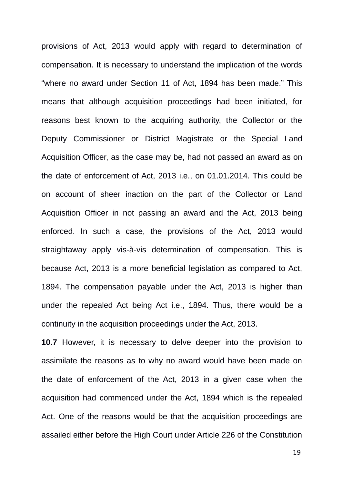provisions of Act, 2013 would apply with regard to determination of compensation. It is necessary to understand the implication of the words "where no award under Section 11 of Act, 1894 has been made." This means that although acquisition proceedings had been initiated, for reasons best known to the acquiring authority, the Collector or the Deputy Commissioner or District Magistrate or the Special Land Acquisition Officer, as the case may be, had not passed an award as on the date of enforcement of Act, 2013 i.e., on 01.01.2014. This could be on account of sheer inaction on the part of the Collector or Land Acquisition Officer in not passing an award and the Act, 2013 being enforced. In such a case, the provisions of the Act, 2013 would straightaway apply vis-à-vis determination of compensation. This is because Act, 2013 is a more beneficial legislation as compared to Act, 1894. The compensation payable under the Act, 2013 is higher than under the repealed Act being Act i.e., 1894. Thus, there would be a continuity in the acquisition proceedings under the Act, 2013.

**10.7** However, it is necessary to delve deeper into the provision to assimilate the reasons as to why no award would have been made on the date of enforcement of the Act, 2013 in a given case when the acquisition had commenced under the Act, 1894 which is the repealed Act. One of the reasons would be that the acquisition proceedings are assailed either before the High Court under Article 226 of the Constitution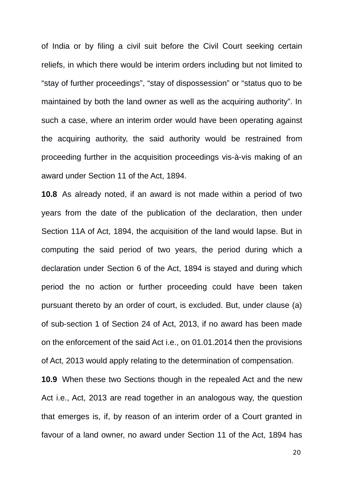of India or by filing a civil suit before the Civil Court seeking certain reliefs, in which there would be interim orders including but not limited to "stay of further proceedings", "stay of dispossession" or "status quo to be maintained by both the land owner as well as the acquiring authority". In such a case, where an interim order would have been operating against the acquiring authority, the said authority would be restrained from proceeding further in the acquisition proceedings vis-à-vis making of an award under Section 11 of the Act, 1894.

**10.8** As already noted, if an award is not made within a period of two years from the date of the publication of the declaration, then under Section 11A of Act, 1894, the acquisition of the land would lapse. But in computing the said period of two years, the period during which a declaration under Section 6 of the Act, 1894 is stayed and during which period the no action or further proceeding could have been taken pursuant thereto by an order of court, is excluded. But, under clause (a) of sub-section 1 of Section 24 of Act, 2013, if no award has been made on the enforcement of the said Act i.e., on 01.01.2014 then the provisions of Act, 2013 would apply relating to the determination of compensation.

**10.9** When these two Sections though in the repealed Act and the new Act i.e., Act, 2013 are read together in an analogous way, the question that emerges is, if, by reason of an interim order of a Court granted in favour of a land owner, no award under Section 11 of the Act, 1894 has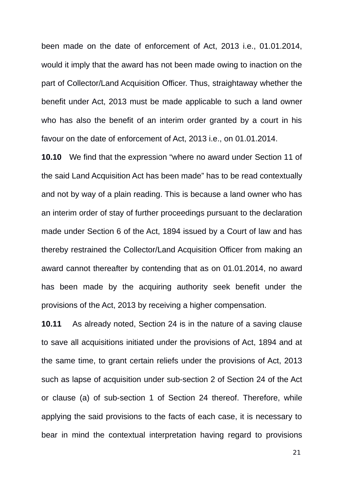been made on the date of enforcement of Act, 2013 i.e., 01.01.2014, would it imply that the award has not been made owing to inaction on the part of Collector/Land Acquisition Officer. Thus, straightaway whether the benefit under Act, 2013 must be made applicable to such a land owner who has also the benefit of an interim order granted by a court in his favour on the date of enforcement of Act, 2013 i.e., on 01.01.2014.

**10.10** We find that the expression "where no award under Section 11 of the said Land Acquisition Act has been made" has to be read contextually and not by way of a plain reading. This is because a land owner who has an interim order of stay of further proceedings pursuant to the declaration made under Section 6 of the Act, 1894 issued by a Court of law and has thereby restrained the Collector/Land Acquisition Officer from making an award cannot thereafter by contending that as on 01.01.2014, no award has been made by the acquiring authority seek benefit under the provisions of the Act, 2013 by receiving a higher compensation.

**10.11** As already noted, Section 24 is in the nature of a saving clause to save all acquisitions initiated under the provisions of Act, 1894 and at the same time, to grant certain reliefs under the provisions of Act, 2013 such as lapse of acquisition under sub-section 2 of Section 24 of the Act or clause (a) of sub-section 1 of Section 24 thereof. Therefore, while applying the said provisions to the facts of each case, it is necessary to bear in mind the contextual interpretation having regard to provisions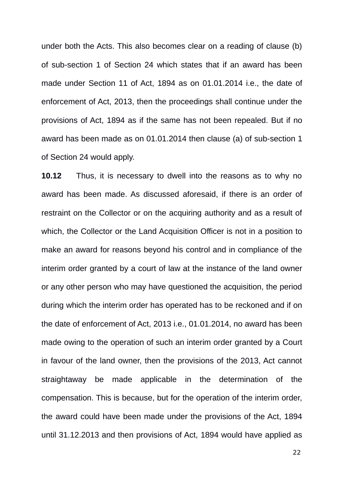under both the Acts. This also becomes clear on a reading of clause (b) of sub-section 1 of Section 24 which states that if an award has been made under Section 11 of Act, 1894 as on 01.01.2014 i.e., the date of enforcement of Act, 2013, then the proceedings shall continue under the provisions of Act, 1894 as if the same has not been repealed. But if no award has been made as on 01.01.2014 then clause (a) of sub-section 1 of Section 24 would apply.

**10.12** Thus, it is necessary to dwell into the reasons as to why no award has been made. As discussed aforesaid, if there is an order of restraint on the Collector or on the acquiring authority and as a result of which, the Collector or the Land Acquisition Officer is not in a position to make an award for reasons beyond his control and in compliance of the interim order granted by a court of law at the instance of the land owner or any other person who may have questioned the acquisition, the period during which the interim order has operated has to be reckoned and if on the date of enforcement of Act, 2013 i.e., 01.01.2014, no award has been made owing to the operation of such an interim order granted by a Court in favour of the land owner, then the provisions of the 2013, Act cannot straightaway be made applicable in the determination of the compensation. This is because, but for the operation of the interim order, the award could have been made under the provisions of the Act, 1894 until 31.12.2013 and then provisions of Act, 1894 would have applied as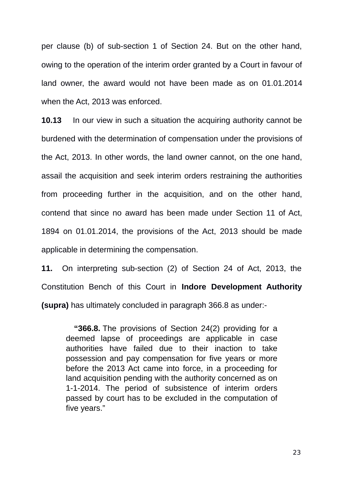per clause (b) of sub-section 1 of Section 24. But on the other hand, owing to the operation of the interim order granted by a Court in favour of land owner, the award would not have been made as on 01.01.2014 when the Act, 2013 was enforced.

**10.13** In our view in such a situation the acquiring authority cannot be burdened with the determination of compensation under the provisions of the Act, 2013. In other words, the land owner cannot, on the one hand, assail the acquisition and seek interim orders restraining the authorities from proceeding further in the acquisition, and on the other hand, contend that since no award has been made under Section 11 of Act, 1894 on 01.01.2014, the provisions of the Act, 2013 should be made applicable in determining the compensation.

**11.** On interpreting sub-section (2) of Section 24 of Act, 2013, the Constitution Bench of this Court in **Indore Development Authority (supra)** has ultimately concluded in paragraph 366.8 as under:-

**"366.8.** The provisions of Section 24(2) providing for a deemed lapse of proceedings are applicable in case authorities have failed due to their inaction to take possession and pay compensation for five years or more before the 2013 Act came into force, in a proceeding for land acquisition pending with the authority concerned as on 1-1-2014. The period of subsistence of interim orders passed by court has to be excluded in the computation of five years."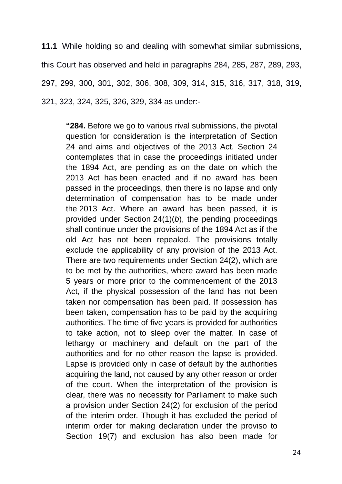**11.1** While holding so and dealing with somewhat similar submissions, this Court has observed and held in paragraphs 284, 285, 287, 289, 293, 297, 299, 300, 301, 302, 306, 308, 309, 314, 315, 316, 317, 318, 319, 321, 323, 324, 325, 326, 329, 334 as under:-

**"284.** Before we go to various rival submissions, the pivotal question for consideration is the interpretation of Section 24 and aims and objectives of the 2013 Act. Section 24 contemplates that in case the proceedings initiated under the 1894 Act, are pending as on the date on which the 2013 Act has been enacted and if no award has been passed in the proceedings, then there is no lapse and only determination of compensation has to be made under the 2013 Act. Where an award has been passed, it is provided under Section 24(1)(*b*), the pending proceedings shall continue under the provisions of the 1894 Act as if the old Act has not been repealed. The provisions totally exclude the applicability of any provision of the 2013 Act. There are two requirements under Section 24(2), which are to be met by the authorities, where award has been made 5 years or more prior to the commencement of the 2013 Act, if the physical possession of the land has not been taken nor compensation has been paid. If possession has been taken, compensation has to be paid by the acquiring authorities. The time of five years is provided for authorities to take action, not to sleep over the matter. In case of lethargy or machinery and default on the part of the authorities and for no other reason the lapse is provided. Lapse is provided only in case of default by the authorities acquiring the land, not caused by any other reason or order of the court. When the interpretation of the provision is clear, there was no necessity for Parliament to make such a provision under Section 24(2) for exclusion of the period of the interim order. Though it has excluded the period of interim order for making declaration under the proviso to Section 19(7) and exclusion has also been made for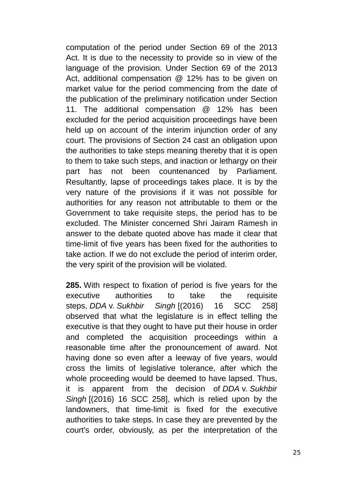computation of the period under Section 69 of the 2013 Act. It is due to the necessity to provide so in view of the language of the provision. Under Section 69 of the 2013 Act, additional compensation  $\omega$  12% has to be given on market value for the period commencing from the date of the publication of the preliminary notification under Section 11. The additional compensation @ 12% has been excluded for the period acquisition proceedings have been held up on account of the interim injunction order of any court. The provisions of Section 24 cast an obligation upon the authorities to take steps meaning thereby that it is open to them to take such steps, and inaction or lethargy on their part has not been countenanced by Parliament. Resultantly, lapse of proceedings takes place. It is by the very nature of the provisions if it was not possible for authorities for any reason not attributable to them or the Government to take requisite steps, the period has to be excluded. The Minister concerned Shri Jairam Ramesh in answer to the debate quoted above has made it clear that time-limit of five years has been fixed for the authorities to take action. If we do not exclude the period of interim order, the very spirit of the provision will be violated.

**285.** With respect to fixation of period is five years for the executive authorities to take the requisite steps, *DDA* v. *Sukhbir Singh* [(2016) 16 SCC 258] observed that what the legislature is in effect telling the executive is that they ought to have put their house in order and completed the acquisition proceedings within a reasonable time after the pronouncement of award. Not having done so even after a leeway of five years, would cross the limits of legislative tolerance, after which the whole proceeding would be deemed to have lapsed. Thus, it is apparent from the decision of *DDA* v. *Sukhbir Singh* [(2016) 16 SCC 258], which is relied upon by the landowners, that time-limit is fixed for the executive authorities to take steps. In case they are prevented by the court's order, obviously, as per the interpretation of the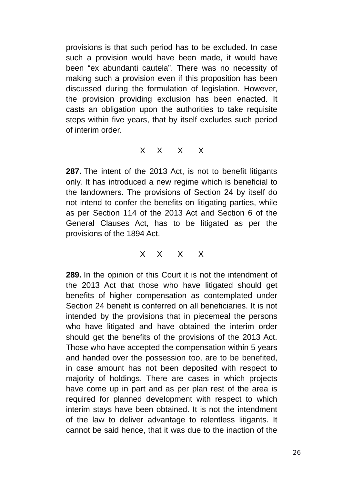provisions is that such period has to be excluded. In case such a provision would have been made, it would have been "ex abundanti cautela". There was no necessity of making such a provision even if this proposition has been discussed during the formulation of legislation. However, the provision providing exclusion has been enacted. It casts an obligation upon the authorities to take requisite steps within five years, that by itself excludes such period of interim order.

### X X X X

**287.** The intent of the 2013 Act, is not to benefit litigants only. It has introduced a new regime which is beneficial to the landowners. The provisions of Section 24 by itself do not intend to confer the benefits on litigating parties, while as per Section 114 of the 2013 Act and Section 6 of the General Clauses Act, has to be litigated as per the provisions of the 1894 Act.

## X X X X

**289.** In the opinion of this Court it is not the intendment of the 2013 Act that those who have litigated should get benefits of higher compensation as contemplated under Section 24 benefit is conferred on all beneficiaries. It is not intended by the provisions that in piecemeal the persons who have litigated and have obtained the interim order should get the benefits of the provisions of the 2013 Act. Those who have accepted the compensation within 5 years and handed over the possession too, are to be benefited, in case amount has not been deposited with respect to majority of holdings. There are cases in which projects have come up in part and as per plan rest of the area is required for planned development with respect to which interim stays have been obtained. It is not the intendment of the law to deliver advantage to relentless litigants. It cannot be said hence, that it was due to the inaction of the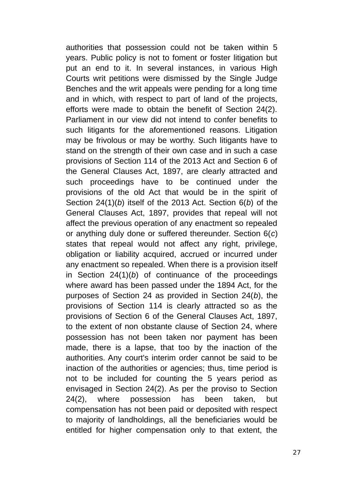authorities that possession could not be taken within 5 years. Public policy is not to foment or foster litigation but put an end to it. In several instances, in various High Courts writ petitions were dismissed by the Single Judge Benches and the writ appeals were pending for a long time and in which, with respect to part of land of the projects, efforts were made to obtain the benefit of Section 24(2). Parliament in our view did not intend to confer benefits to such litigants for the aforementioned reasons. Litigation may be frivolous or may be worthy. Such litigants have to stand on the strength of their own case and in such a case provisions of Section 114 of the 2013 Act and Section 6 of the General Clauses Act, 1897, are clearly attracted and such proceedings have to be continued under the provisions of the old Act that would be in the spirit of Section 24(1)(*b*) itself of the 2013 Act. Section 6(*b*) of the General Clauses Act, 1897, provides that repeal will not affect the previous operation of any enactment so repealed or anything duly done or suffered thereunder. Section 6(*c*) states that repeal would not affect any right, privilege, obligation or liability acquired, accrued or incurred under any enactment so repealed. When there is a provision itself in Section 24(1)(*b*) of continuance of the proceedings where award has been passed under the 1894 Act, for the purposes of Section 24 as provided in Section 24(*b*), the provisions of Section 114 is clearly attracted so as the provisions of Section 6 of the General Clauses Act, 1897, to the extent of non obstante clause of Section 24, where possession has not been taken nor payment has been made, there is a lapse, that too by the inaction of the authorities. Any court's interim order cannot be said to be inaction of the authorities or agencies; thus, time period is not to be included for counting the 5 years period as envisaged in Section 24(2). As per the proviso to Section 24(2), where possession has been taken, but compensation has not been paid or deposited with respect to majority of landholdings, all the beneficiaries would be entitled for higher compensation only to that extent, the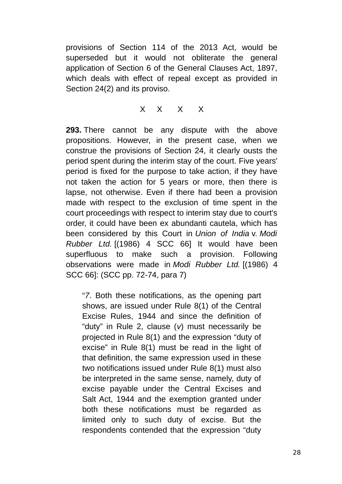provisions of Section 114 of the 2013 Act, would be superseded but it would not obliterate the general application of Section 6 of the General Clauses Act, 1897, which deals with effect of repeal except as provided in Section 24(2) and its proviso.

X X X X

**293.** There cannot be any dispute with the above propositions. However, in the present case, when we construe the provisions of Section 24, it clearly ousts the period spent during the interim stay of the court. Five years' period is fixed for the purpose to take action, if they have not taken the action for 5 years or more, then there is lapse, not otherwise. Even if there had been a provision made with respect to the exclusion of time spent in the court proceedings with respect to interim stay due to court's order, it could have been ex abundanti cautela, which has been considered by this Court in *Union of India* v. *Modi Rubber Ltd.* [(1986) 4 SCC 66] It would have been superfluous to make such a provision. Following observations were made in *Modi Rubber Ltd.* [(1986) 4 SCC 66]: (SCC pp. 72-74, para 7)

"*7*. Both these notifications, as the opening part shows, are issued under Rule 8(1) of the Central Excise Rules, 1944 and since the definition of "duty" in Rule 2, clause (*v*) must necessarily be projected in Rule 8(1) and the expression "duty of excise" in Rule 8(1) must be read in the light of that definition, the same expression used in these two notifications issued under Rule 8(1) must also be interpreted in the same sense, namely, duty of excise payable under the Central Excises and Salt Act, 1944 and the exemption granted under both these notifications must be regarded as limited only to such duty of excise. But the respondents contended that the expression "duty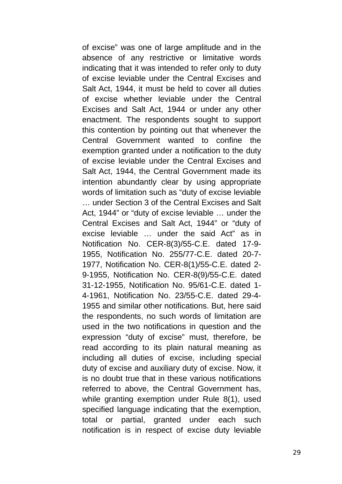of excise" was one of large amplitude and in the absence of any restrictive or limitative words indicating that it was intended to refer only to duty of excise leviable under the Central Excises and Salt Act, 1944, it must be held to cover all duties of excise whether leviable under the Central Excises and Salt Act, 1944 or under any other enactment. The respondents sought to support this contention by pointing out that whenever the Central Government wanted to confine the exemption granted under a notification to the duty of excise leviable under the Central Excises and Salt Act, 1944, the Central Government made its intention abundantly clear by using appropriate words of limitation such as "duty of excise leviable … under Section 3 of the Central Excises and Salt Act, 1944" or "duty of excise leviable … under the Central Excises and Salt Act, 1944" or "duty of excise leviable … under the said Act" as in Notification No. CER-8(3)/55-C.E. dated 17-9- 1955, Notification No. 255/77-C.E. dated 20-7- 1977, Notification No. CER-8(1)/55-C.E. dated 2- 9-1955, Notification No. CER-8(9)/55-C.E. dated 31-12-1955, Notification No. 95/61-C.E. dated 1- 4-1961, Notification No. 23/55-C.E. dated 29-4- 1955 and similar other notifications. But, here said the respondents, no such words of limitation are used in the two notifications in question and the expression "duty of excise" must, therefore, be read according to its plain natural meaning as including all duties of excise, including special duty of excise and auxiliary duty of excise. Now, it is no doubt true that in these various notifications referred to above, the Central Government has, while granting exemption under Rule 8(1), used specified language indicating that the exemption, total or partial, granted under each such notification is in respect of excise duty leviable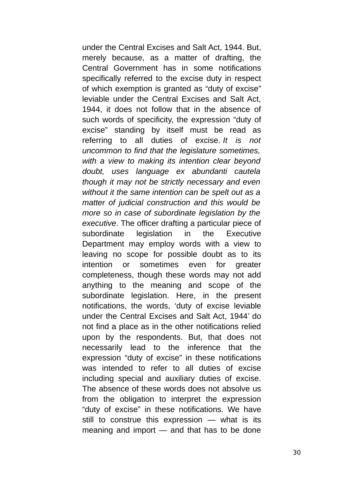under the Central Excises and Salt Act, 1944. But, merely because, as a matter of drafting, the Central Government has in some notifications specifically referred to the excise duty in respect of which exemption is granted as "duty of excise" leviable under the Central Excises and Salt Act, 1944, it does not follow that in the absence of such words of specificity, the expression "duty of excise" standing by itself must be read as referring to all duties of excise. *It is not uncommon to find that the legislature sometimes, with a view to making its intention clear beyond doubt, uses language ex abundanti cautela though it may not be strictly necessary and even without it the same intention can be spelt out as a matter of judicial construction and this would be more so in case of subordinate legislation by the executive*. The officer drafting a particular piece of subordinate legislation in the Executive Department may employ words with a view to leaving no scope for possible doubt as to its intention or sometimes even for greater completeness, though these words may not add anything to the meaning and scope of the subordinate legislation. Here, in the present notifications, the words, 'duty of excise leviable under the Central Excises and Salt Act, 1944' do not find a place as in the other notifications relied upon by the respondents. But, that does not necessarily lead to the inference that the expression "duty of excise" in these notifications was intended to refer to all duties of excise including special and auxiliary duties of excise. The absence of these words does not absolve us from the obligation to interpret the expression "duty of excise" in these notifications. We have still to construe this expression — what is its meaning and import — and that has to be done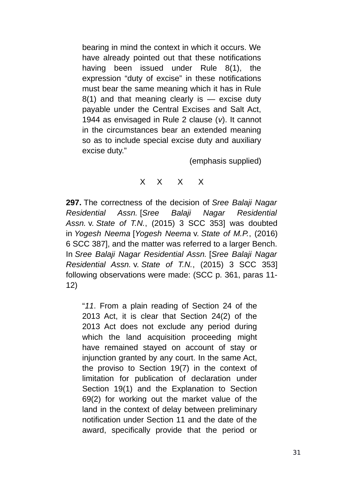bearing in mind the context in which it occurs. We have already pointed out that these notifications having been issued under Rule 8(1), the expression "duty of excise" in these notifications must bear the same meaning which it has in Rule  $8(1)$  and that meaning clearly is — excise duty payable under the Central Excises and Salt Act, 1944 as envisaged in Rule 2 clause (*v*). It cannot in the circumstances bear an extended meaning so as to include special excise duty and auxiliary excise duty."

(emphasis supplied)

# X X X X

**297.** The correctness of the decision of *Sree Balaji Nagar Residential Assn.* [*Sree Balaji Nagar Residential Assn.* v. *State of T.N.*, (2015) 3 SCC 353] was doubted in *Yogesh Neema* [*Yogesh Neema* v. *State of M.P.*, (2016) 6 SCC 387], and the matter was referred to a larger Bench. In *Sree Balaji Nagar Residential Assn.* [*Sree Balaji Nagar Residential Assn.* v. *State of T.N.*, (2015) 3 SCC 353] following observations were made: (SCC p. 361, paras 11- 12)

"*11*. From a plain reading of Section 24 of the 2013 Act, it is clear that Section 24(2) of the 2013 Act does not exclude any period during which the land acquisition proceeding might have remained stayed on account of stay or injunction granted by any court. In the same Act, the proviso to Section 19(7) in the context of limitation for publication of declaration under Section 19(1) and the Explanation to Section 69(2) for working out the market value of the land in the context of delay between preliminary notification under Section 11 and the date of the award, specifically provide that the period or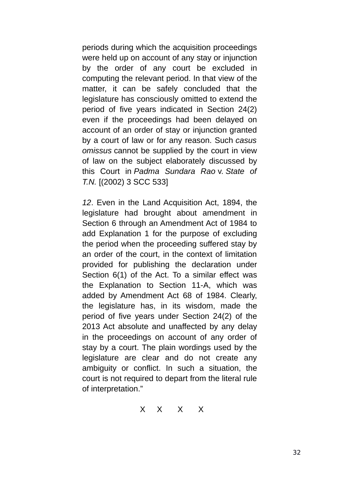periods during which the acquisition proceedings were held up on account of any stay or injunction by the order of any court be excluded in computing the relevant period. In that view of the matter, it can be safely concluded that the legislature has consciously omitted to extend the period of five years indicated in Section 24(2) even if the proceedings had been delayed on account of an order of stay or injunction granted by a court of law or for any reason. Such *casus omissus* cannot be supplied by the court in view of law on the subject elaborately discussed by this Court in *Padma Sundara Rao* v. *State of T.N.* [(2002) 3 SCC 533]

*12*. Even in the Land Acquisition Act, 1894, the legislature had brought about amendment in Section 6 through an Amendment Act of 1984 to add Explanation 1 for the purpose of excluding the period when the proceeding suffered stay by an order of the court, in the context of limitation provided for publishing the declaration under Section 6(1) of the Act. To a similar effect was the Explanation to Section 11-A, which was added by Amendment Act 68 of 1984. Clearly, the legislature has, in its wisdom, made the period of five years under Section 24(2) of the 2013 Act absolute and unaffected by any delay in the proceedings on account of any order of stay by a court. The plain wordings used by the legislature are clear and do not create any ambiguity or conflict. In such a situation, the court is not required to depart from the literal rule of interpretation."

$$
\begin{matrix} \times & \times & \times & \times \end{matrix}
$$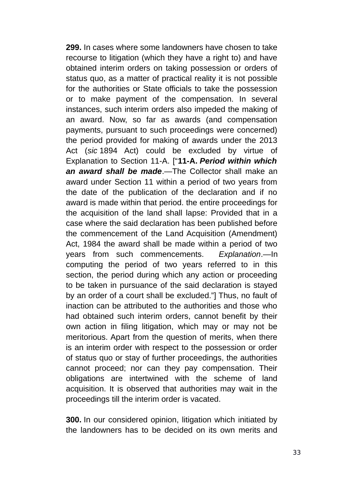**299.** In cases where some landowners have chosen to take recourse to litigation (which they have a right to) and have obtained interim orders on taking possession or orders of status quo, as a matter of practical reality it is not possible for the authorities or State officials to take the possession or to make payment of the compensation. In several instances, such interim orders also impeded the making of an award. Now, so far as awards (and compensation payments, pursuant to such proceedings were concerned) the period provided for making of awards under the 2013 Act (*sic* 1894 Act) could be excluded by virtue of Explanation to Section 11-A. ["**11-A.** *Period within which an award shall be made*.—The Collector shall make an award under Section 11 within a period of two years from the date of the publication of the declaration and if no award is made within that period. the entire proceedings for the acquisition of the land shall lapse: Provided that in a case where the said declaration has been published before the commencement of the Land Acquisition (Amendment) Act, 1984 the award shall be made within a period of two years from such commencements. *Explanation*.—In computing the period of two years referred to in this section, the period during which any action or proceeding to be taken in pursuance of the said declaration is stayed by an order of a court shall be excluded."] Thus, no fault of inaction can be attributed to the authorities and those who had obtained such interim orders, cannot benefit by their own action in filing litigation, which may or may not be meritorious. Apart from the question of merits, when there is an interim order with respect to the possession or order of status quo or stay of further proceedings, the authorities cannot proceed; nor can they pay compensation. Their obligations are intertwined with the scheme of land acquisition. It is observed that authorities may wait in the proceedings till the interim order is vacated.

**300.** In our considered opinion, litigation which initiated by the landowners has to be decided on its own merits and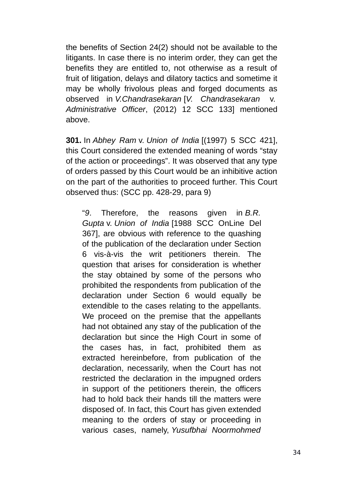the benefits of Section 24(2) should not be available to the litigants. In case there is no interim order, they can get the benefits they are entitled to, not otherwise as a result of fruit of litigation, delays and dilatory tactics and sometime it may be wholly frivolous pleas and forged documents as observed in *V.Chandrasekaran* [*V. Chandrasekaran* v. *Administrative Officer*, (2012) 12 SCC 133] mentioned above.

**301.** In *Abhey Ram* v. *Union of India* [(1997) 5 SCC 421], this Court considered the extended meaning of words "stay of the action or proceedings". It was observed that any type of orders passed by this Court would be an inhibitive action on the part of the authorities to proceed further. This Court observed thus: (SCC pp. 428-29, para 9)

"*9*. Therefore, the reasons given in *B.R. Gupta* v. *Union of India* [1988 SCC OnLine Del 367], are obvious with reference to the quashing of the publication of the declaration under Section 6 vis-à-vis the writ petitioners therein. The question that arises for consideration is whether the stay obtained by some of the persons who prohibited the respondents from publication of the declaration under Section 6 would equally be extendible to the cases relating to the appellants. We proceed on the premise that the appellants had not obtained any stay of the publication of the declaration but since the High Court in some of the cases has, in fact, prohibited them as extracted hereinbefore, from publication of the declaration, necessarily, when the Court has not restricted the declaration in the impugned orders in support of the petitioners therein, the officers had to hold back their hands till the matters were disposed of. In fact, this Court has given extended meaning to the orders of stay or proceeding in various cases, namely, *Yusufbhai Noormohmed*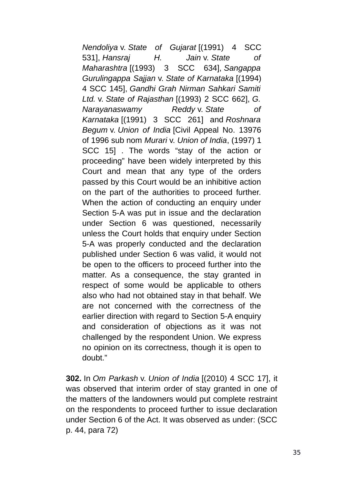*Nendoliya* v. *State of Gujarat* [(1991) 4 SCC 531], *Hansraj H. Jain* v. *State of Maharashtra* [(1993) 3 SCC 634], *Sangappa Gurulingappa Sajjan* v. *State of Karnataka* [(1994) 4 SCC 145], *Gandhi Grah Nirman Sahkari Samiti Ltd.* v. *State of Rajasthan* [(1993) 2 SCC 662], *G. Narayanaswamy Reddy* v. *State of Karnataka* [(1991) 3 SCC 261] and *Roshnara Begum* v. *Union of India* [Civil Appeal No. 13976 of 1996 sub nom *Murari* v. *Union of India*, (1997) 1 SCC 15] . The words "stay of the action or proceeding" have been widely interpreted by this Court and mean that any type of the orders passed by this Court would be an inhibitive action on the part of the authorities to proceed further. When the action of conducting an enquiry under Section 5-A was put in issue and the declaration under Section 6 was questioned, necessarily unless the Court holds that enquiry under Section 5-A was properly conducted and the declaration published under Section 6 was valid, it would not be open to the officers to proceed further into the matter. As a consequence, the stay granted in respect of some would be applicable to others also who had not obtained stay in that behalf. We are not concerned with the correctness of the earlier direction with regard to Section 5-A enquiry and consideration of objections as it was not challenged by the respondent Union. We express no opinion on its correctness, though it is open to doubt."

**302.** In *Om Parkash* v. *Union of India* [(2010) 4 SCC 17], it was observed that interim order of stay granted in one of the matters of the landowners would put complete restraint on the respondents to proceed further to issue declaration under Section 6 of the Act. It was observed as under: (SCC p. 44, para 72)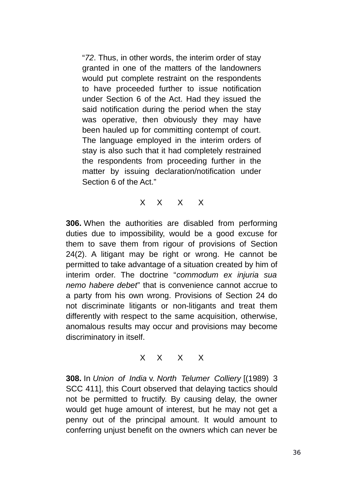"*72*. Thus, in other words, the interim order of stay granted in one of the matters of the landowners would put complete restraint on the respondents to have proceeded further to issue notification under Section 6 of the Act. Had they issued the said notification during the period when the stay was operative, then obviously they may have been hauled up for committing contempt of court. The language employed in the interim orders of stay is also such that it had completely restrained the respondents from proceeding further in the matter by issuing declaration/notification under Section 6 of the Act."

X X X X

**306.** When the authorities are disabled from performing duties due to impossibility, would be a good excuse for them to save them from rigour of provisions of Section 24(2). A litigant may be right or wrong. He cannot be permitted to take advantage of a situation created by him of interim order. The doctrine "*commodum ex injuria sua nemo habere debet*" that is convenience cannot accrue to a party from his own wrong. Provisions of Section 24 do not discriminate litigants or non-litigants and treat them differently with respect to the same acquisition, otherwise, anomalous results may occur and provisions may become discriminatory in itself.

X X X X

**308.** In *Union of India* v. *North Telumer Colliery* [(1989) 3 SCC 411], this Court observed that delaying tactics should not be permitted to fructify. By causing delay, the owner would get huge amount of interest, but he may not get a penny out of the principal amount. It would amount to conferring unjust benefit on the owners which can never be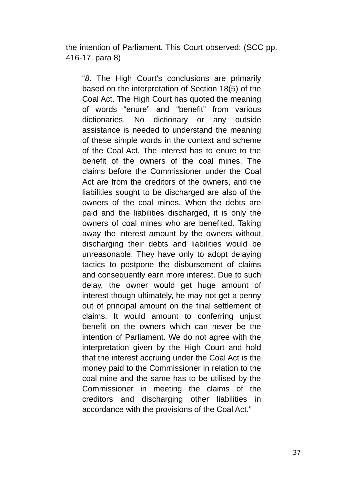the intention of Parliament. This Court observed: (SCC pp. 416-17, para 8)

"*8*. The High Court's conclusions are primarily based on the interpretation of Section 18(5) of the Coal Act. The High Court has quoted the meaning of words "enure" and "benefit" from various dictionaries. No dictionary or any outside assistance is needed to understand the meaning of these simple words in the context and scheme of the Coal Act. The interest has to enure to the benefit of the owners of the coal mines. The claims before the Commissioner under the Coal Act are from the creditors of the owners, and the liabilities sought to be discharged are also of the owners of the coal mines. When the debts are paid and the liabilities discharged, it is only the owners of coal mines who are benefited. Taking away the interest amount by the owners without discharging their debts and liabilities would be unreasonable. They have only to adopt delaying tactics to postpone the disbursement of claims and consequently earn more interest. Due to such delay, the owner would get huge amount of interest though ultimately, he may not get a penny out of principal amount on the final settlement of claims. It would amount to conferring unjust benefit on the owners which can never be the intention of Parliament. We do not agree with the interpretation given by the High Court and hold that the interest accruing under the Coal Act is the money paid to the Commissioner in relation to the coal mine and the same has to be utilised by the Commissioner in meeting the claims of the creditors and discharging other liabilities in accordance with the provisions of the Coal Act."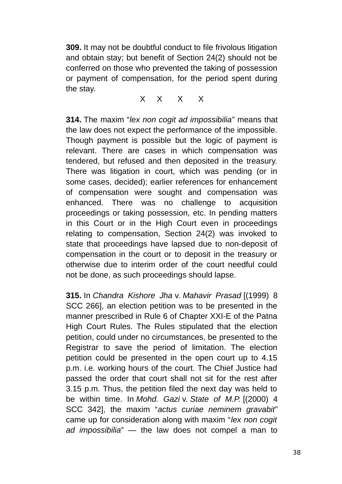**309.** It may not be doubtful conduct to file frivolous litigation and obtain stay; but benefit of Section 24(2) should not be conferred on those who prevented the taking of possession or payment of compensation, for the period spent during the stay.

X X X X

**314.** The maxim "*lex non cogit ad impossibilia*" means that the law does not expect the performance of the impossible. Though payment is possible but the logic of payment is relevant. There are cases in which compensation was tendered, but refused and then deposited in the treasury. There was litigation in court, which was pending (or in some cases, decided); earlier references for enhancement of compensation were sought and compensation was enhanced. There was no challenge to acquisition proceedings or taking possession, etc. In pending matters in this Court or in the High Court even in proceedings relating to compensation, Section 24(2) was invoked to state that proceedings have lapsed due to non-deposit of compensation in the court or to deposit in the treasury or otherwise due to interim order of the court needful could not be done, as such proceedings should lapse.

**315.** In *Chandra Kishore Jha* v. *Mahavir Prasad* [(1999) 8 SCC 266], an election petition was to be presented in the manner prescribed in Rule 6 of Chapter XXI-E of the Patna High Court Rules. The Rules stipulated that the election petition, could under no circumstances, be presented to the Registrar to save the period of limitation. The election petition could be presented in the open court up to 4.15 p.m. i.e. working hours of the court. The Chief Justice had passed the order that court shall not sit for the rest after 3.15 p.m. Thus, the petition filed the next day was held to be within time. In *Mohd. Gazi* v. *State of M.P.* [(2000) 4 SCC 342], the maxim "*actus curiae neminem gravabit*" came up for consideration along with maxim "*lex non cogit ad impossibilia*" — the law does not compel a man to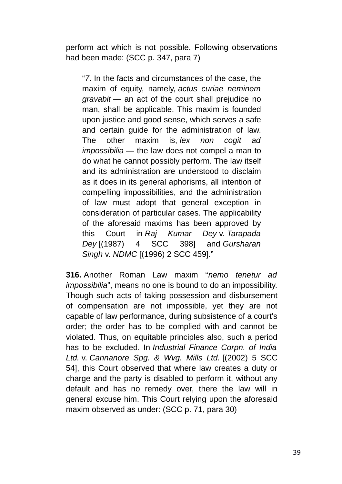perform act which is not possible. Following observations had been made: (SCC p. 347, para 7)

"*7*. In the facts and circumstances of the case, the maxim of equity, namely, *actus curiae neminem gravabit* — an act of the court shall prejudice no man, shall be applicable. This maxim is founded upon justice and good sense, which serves a safe and certain guide for the administration of law. The other maxim is, *lex non cogit ad impossibilia* — the law does not compel a man to do what he cannot possibly perform. The law itself and its administration are understood to disclaim as it does in its general aphorisms, all intention of compelling impossibilities, and the administration of law must adopt that general exception in consideration of particular cases. The applicability of the aforesaid maxims has been approved by this Court in *Raj Kumar Dey* v. *Tarapada Dey* [(1987) 4 SCC 398] and *Gursharan Singh* v. *NDMC* [(1996) 2 SCC 459]."

**316.** Another Roman Law maxim "*nemo tenetur ad impossibilia*", means no one is bound to do an impossibility. Though such acts of taking possession and disbursement of compensation are not impossible, yet they are not capable of law performance, during subsistence of a court's order; the order has to be complied with and cannot be violated. Thus, on equitable principles also, such a period has to be excluded. In *Industrial Finance Corpn. of India Ltd.* v. *Cannanore Spg. & Wvg. Mills Ltd.* [(2002) 5 SCC 54], this Court observed that where law creates a duty or charge and the party is disabled to perform it, without any default and has no remedy over, there the law will in general excuse him. This Court relying upon the aforesaid maxim observed as under: (SCC p. 71, para 30)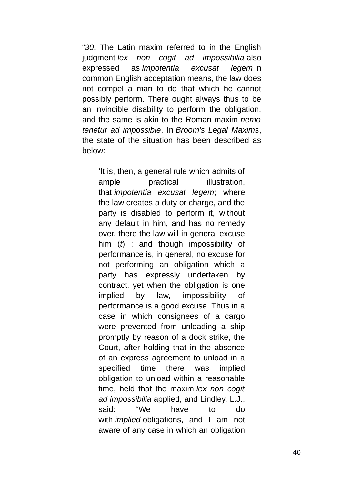"*30*. The Latin maxim referred to in the English judgment *lex non cogit ad impossibilia* also expressed as *impotentia excusat legem* in common English acceptation means, the law does not compel a man to do that which he cannot possibly perform. There ought always thus to be an invincible disability to perform the obligation, and the same is akin to the Roman maxim *nemo tenetur ad impossible*. In *Broom's Legal Maxims*, the state of the situation has been described as below:

'It is, then, a general rule which admits of ample practical illustration, that *impotentia excusat legem*; where the law creates a duty or charge, and the party is disabled to perform it, without any default in him, and has no remedy over, there the law will in general excuse him (*t*) : and though impossibility of performance is, in general, no excuse for not performing an obligation which a party has expressly undertaken by contract, yet when the obligation is one implied by law, impossibility of performance is a good excuse. Thus in a case in which consignees of a cargo were prevented from unloading a ship promptly by reason of a dock strike, the Court, after holding that in the absence of an express agreement to unload in a specified time there was implied obligation to unload within a reasonable time, held that the maxim *lex non cogit ad impossibilia* applied, and Lindley, L.J., said: "We have to do with *implied* obligations, and I am not aware of any case in which an obligation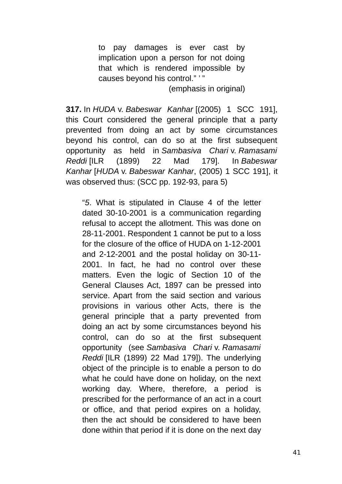to pay damages is ever cast by implication upon a person for not doing that which is rendered impossible by causes beyond his control." ' "

(emphasis in original)

**317.** In *HUDA* v. *Babeswar Kanhar* [(2005) 1 SCC 191], this Court considered the general principle that a party prevented from doing an act by some circumstances beyond his control, can do so at the first subsequent opportunity as held in *Sambasiva Chari* v. *Ramasami Reddi* [ILR (1899) 22 Mad 179]. In *Babeswar Kanhar* [*HUDA* v. *Babeswar Kanhar*, (2005) 1 SCC 191], it was observed thus: (SCC pp. 192-93, para 5)

"*5*. What is stipulated in Clause 4 of the letter dated 30-10-2001 is a communication regarding refusal to accept the allotment. This was done on 28-11-2001. Respondent 1 cannot be put to a loss for the closure of the office of HUDA on 1-12-2001 and 2-12-2001 and the postal holiday on 30-11- 2001. In fact, he had no control over these matters. Even the logic of Section 10 of the General Clauses Act, 1897 can be pressed into service. Apart from the said section and various provisions in various other Acts, there is the general principle that a party prevented from doing an act by some circumstances beyond his control, can do so at the first subsequent opportunity (see *Sambasiva Chari* v. *Ramasami Reddi* [ILR (1899) 22 Mad 179]). The underlying object of the principle is to enable a person to do what he could have done on holiday, on the next working day. Where, therefore, a period is prescribed for the performance of an act in a court or office, and that period expires on a holiday, then the act should be considered to have been done within that period if it is done on the next day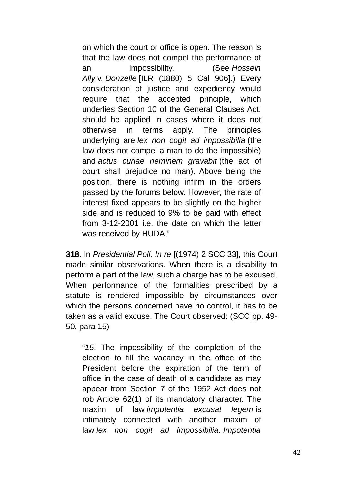on which the court or office is open. The reason is that the law does not compel the performance of an impossibility. (See *Hossein Ally* v. *Donzelle* [ILR (1880) 5 Cal 906].) Every consideration of justice and expediency would require that the accepted principle, which underlies Section 10 of the General Clauses Act, should be applied in cases where it does not otherwise in terms apply. The principles underlying are *lex non cogit ad impossibilia* (the law does not compel a man to do the impossible) and *actus curiae neminem gravabit* (the act of court shall prejudice no man). Above being the position, there is nothing infirm in the orders passed by the forums below. However, the rate of interest fixed appears to be slightly on the higher side and is reduced to 9% to be paid with effect from 3-12-2001 i.e. the date on which the letter was received by HUDA."

**318.** In *Presidential Poll, In re* [(1974) 2 SCC 33], this Court made similar observations. When there is a disability to perform a part of the law, such a charge has to be excused. When performance of the formalities prescribed by a statute is rendered impossible by circumstances over which the persons concerned have no control, it has to be taken as a valid excuse. The Court observed: (SCC pp. 49- 50, para 15)

"*15*. The impossibility of the completion of the election to fill the vacancy in the office of the President before the expiration of the term of office in the case of death of a candidate as may appear from Section 7 of the 1952 Act does not rob Article 62(1) of its mandatory character. The maxim of law *impotentia excusat legem* is intimately connected with another maxim of law *lex non cogit ad impossibilia*. *Impotentia*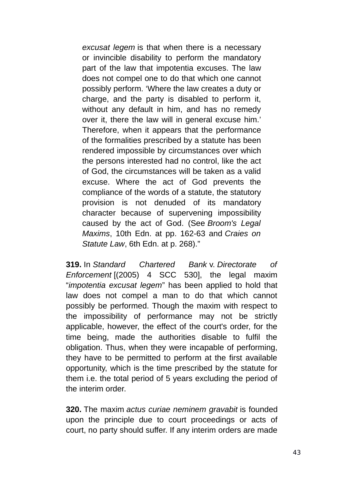*excusat legem* is that when there is a necessary or invincible disability to perform the mandatory part of the law that impotentia excuses. The law does not compel one to do that which one cannot possibly perform. 'Where the law creates a duty or charge, and the party is disabled to perform it, without any default in him, and has no remedy over it, there the law will in general excuse him.' Therefore, when it appears that the performance of the formalities prescribed by a statute has been rendered impossible by circumstances over which the persons interested had no control, like the act of God, the circumstances will be taken as a valid excuse. Where the act of God prevents the compliance of the words of a statute, the statutory provision is not denuded of its mandatory character because of supervening impossibility caused by the act of God. (See *Broom's Legal Maxims*, 10th Edn. at pp. 162-63 and *Craies on Statute Law*, 6th Edn. at p. 268)."

**319.** In *Standard Chartered Bank* v. *Directorate of Enforcement* [(2005) 4 SCC 530], the legal maxim "*impotentia excusat legem*" has been applied to hold that law does not compel a man to do that which cannot possibly be performed. Though the maxim with respect to the impossibility of performance may not be strictly applicable, however, the effect of the court's order, for the time being, made the authorities disable to fulfil the obligation. Thus, when they were incapable of performing, they have to be permitted to perform at the first available opportunity, which is the time prescribed by the statute for them i.e. the total period of 5 years excluding the period of the interim order.

**320.** The maxim *actus curiae neminem gravabit* is founded upon the principle due to court proceedings or acts of court, no party should suffer. If any interim orders are made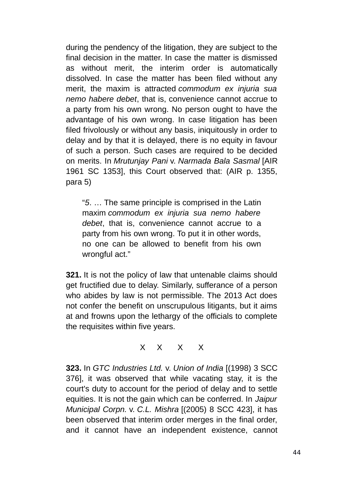during the pendency of the litigation, they are subject to the final decision in the matter. In case the matter is dismissed as without merit, the interim order is automatically dissolved. In case the matter has been filed without any merit, the maxim is attracted *commodum ex injuria sua nemo habere debet*, that is, convenience cannot accrue to a party from his own wrong. No person ought to have the advantage of his own wrong. In case litigation has been filed frivolously or without any basis, iniquitously in order to delay and by that it is delayed, there is no equity in favour of such a person. Such cases are required to be decided on merits. In *Mrutunjay Pani* v. *Narmada Bala Sasmal* [AIR 1961 SC 1353], this Court observed that: (AIR p. 1355, para 5)

"*5*. … The same principle is comprised in the Latin maxim *commodum ex injuria sua nemo habere debet*, that is, convenience cannot accrue to a party from his own wrong. To put it in other words, no one can be allowed to benefit from his own wrongful act."

**321.** It is not the policy of law that untenable claims should get fructified due to delay. Similarly, sufferance of a person who abides by law is not permissible. The 2013 Act does not confer the benefit on unscrupulous litigants, but it aims at and frowns upon the lethargy of the officials to complete the requisites within five years.

X X X X

**323.** In *GTC Industries Ltd.* v. *Union of India* [(1998) 3 SCC 376], it was observed that while vacating stay, it is the court's duty to account for the period of delay and to settle equities. It is not the gain which can be conferred. In *Jaipur Municipal Corpn.* v. *C.L. Mishra* [(2005) 8 SCC 423], it has been observed that interim order merges in the final order, and it cannot have an independent existence, cannot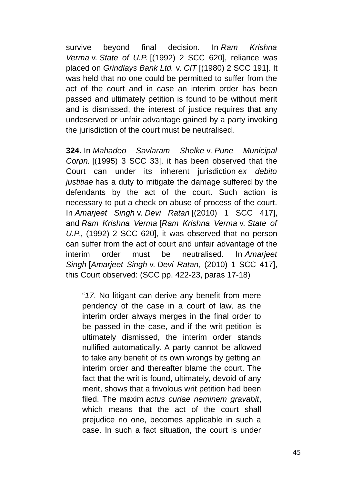survive beyond final decision. In *Ram Krishna Verma* v. *State of U.P.* [(1992) 2 SCC 620], reliance was placed on *Grindlays Bank Ltd.* v. *CIT* [(1980) 2 SCC 191]. It was held that no one could be permitted to suffer from the act of the court and in case an interim order has been passed and ultimately petition is found to be without merit and is dismissed, the interest of justice requires that any undeserved or unfair advantage gained by a party invoking the jurisdiction of the court must be neutralised.

**324.** In *Mahadeo Savlaram Shelke* v. *Pune Municipal Corpn.* [(1995) 3 SCC 33], it has been observed that the Court can under its inherent jurisdiction *ex debito justitiae* has a duty to mitigate the damage suffered by the defendants by the act of the court. Such action is necessary to put a check on abuse of process of the court. In *Amarjeet Singh* v. *Devi Ratan* [(2010) 1 SCC 417], and *Ram Krishna Verma* [*Ram Krishna Verma* v. *State of U.P.*, (1992) 2 SCC 620], it was observed that no person can suffer from the act of court and unfair advantage of the interim order must be neutralised. In *Amarjeet Singh* [*Amarjeet Singh* v. *Devi Ratan*, (2010) 1 SCC 417], this Court observed: (SCC pp. 422-23, paras 17-18)

"*17*. No litigant can derive any benefit from mere pendency of the case in a court of law, as the interim order always merges in the final order to be passed in the case, and if the writ petition is ultimately dismissed, the interim order stands nullified automatically. A party cannot be allowed to take any benefit of its own wrongs by getting an interim order and thereafter blame the court. The fact that the writ is found, ultimately, devoid of any merit, shows that a frivolous writ petition had been filed. The maxim *actus curiae neminem gravabit*, which means that the act of the court shall prejudice no one, becomes applicable in such a case. In such a fact situation, the court is under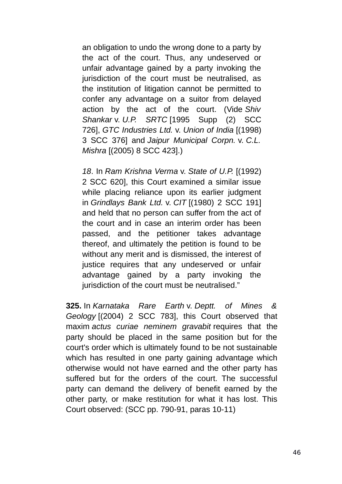an obligation to undo the wrong done to a party by the act of the court. Thus, any undeserved or unfair advantage gained by a party invoking the jurisdiction of the court must be neutralised, as the institution of litigation cannot be permitted to confer any advantage on a suitor from delayed action by the act of the court. (Vide *Shiv Shankar* v. *U.P. SRTC* [1995 Supp (2) SCC 726], *GTC Industries Ltd.* v. *Union of India* [(1998) 3 SCC 376] and *Jaipur Municipal Corpn.* v. *C.L. Mishra* [(2005) 8 SCC 423].)

*18*. In *Ram Krishna Verma* v. *State of U.P.* [(1992) 2 SCC 620], this Court examined a similar issue while placing reliance upon its earlier judgment in *Grindlays Bank Ltd.* v. *CIT* [(1980) 2 SCC 191] and held that no person can suffer from the act of the court and in case an interim order has been passed, and the petitioner takes advantage thereof, and ultimately the petition is found to be without any merit and is dismissed, the interest of justice requires that any undeserved or unfair advantage gained by a party invoking the jurisdiction of the court must be neutralised."

**325.** In *Karnataka Rare Earth* v. *Deptt. of Mines & Geology* [(2004) 2 SCC 783], this Court observed that maxim *actus curiae neminem gravabit* requires that the party should be placed in the same position but for the court's order which is ultimately found to be not sustainable which has resulted in one party gaining advantage which otherwise would not have earned and the other party has suffered but for the orders of the court. The successful party can demand the delivery of benefit earned by the other party, or make restitution for what it has lost. This Court observed: (SCC pp. 790-91, paras 10-11)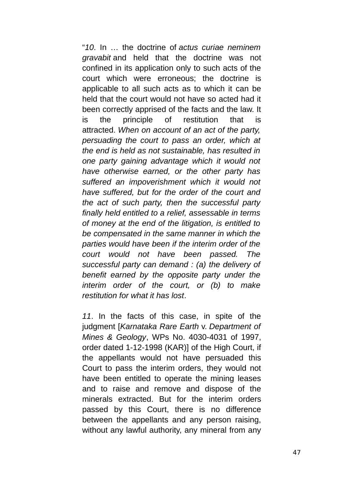"*10*. In … the doctrine of *actus curiae neminem gravabit* and held that the doctrine was not confined in its application only to such acts of the court which were erroneous; the doctrine is applicable to all such acts as to which it can be held that the court would not have so acted had it been correctly apprised of the facts and the law. It is the principle of restitution that is attracted. *When on account of an act of the party, persuading the court to pass an order, which at the end is held as not sustainable, has resulted in one party gaining advantage which it would not have otherwise earned, or the other party has suffered an impoverishment which it would not have suffered, but for the order of the court and the act of such party, then the successful party finally held entitled to a relief, assessable in terms of money at the end of the litigation, is entitled to be compensated in the same manner in which the parties would have been if the interim order of the court would not have been passed. The successful party can demand : (a) the delivery of benefit earned by the opposite party under the interim order of the court, or (b) to make restitution for what it has lost*.

*11*. In the facts of this case, in spite of the judgment [*Karnataka Rare Earth* v. *Department of Mines & Geology*, WPs No. 4030-4031 of 1997, order dated 1-12-1998 (KAR)] of the High Court, if the appellants would not have persuaded this Court to pass the interim orders, they would not have been entitled to operate the mining leases and to raise and remove and dispose of the minerals extracted. But for the interim orders passed by this Court, there is no difference between the appellants and any person raising, without any lawful authority, any mineral from any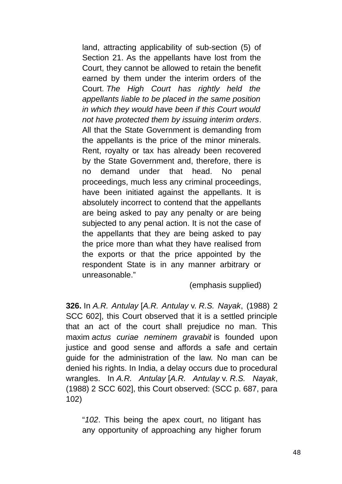land, attracting applicability of sub-section (5) of Section 21. As the appellants have lost from the Court, they cannot be allowed to retain the benefit earned by them under the interim orders of the Court. *The High Court has rightly held the appellants liable to be placed in the same position in which they would have been if this Court would not have protected them by issuing interim orders*. All that the State Government is demanding from the appellants is the price of the minor minerals. Rent, royalty or tax has already been recovered by the State Government and, therefore, there is no demand under that head. No penal proceedings, much less any criminal proceedings, have been initiated against the appellants. It is absolutely incorrect to contend that the appellants are being asked to pay any penalty or are being subjected to any penal action. It is not the case of the appellants that they are being asked to pay the price more than what they have realised from the exports or that the price appointed by the respondent State is in any manner arbitrary or unreasonable."

(emphasis supplied)

**326.** In *A.R. Antulay* [*A.R. Antulay* v. *R.S. Nayak*, (1988) 2 SCC 602], this Court observed that it is a settled principle that an act of the court shall prejudice no man. This maxim *actus curiae neminem gravabit* is founded upon justice and good sense and affords a safe and certain guide for the administration of the law. No man can be denied his rights. In India, a delay occurs due to procedural wrangles. In *A.R. Antulay* [*A.R. Antulay* v. *R.S. Nayak*, (1988) 2 SCC 602], this Court observed: (SCC p. 687, para 102)

"*102*. This being the apex court, no litigant has any opportunity of approaching any higher forum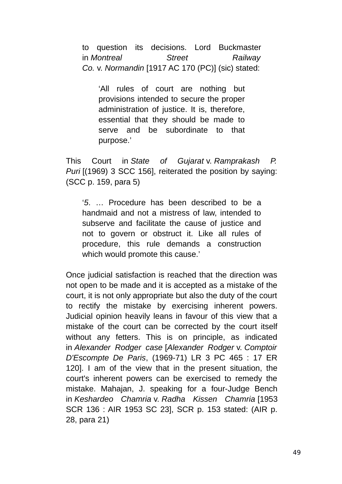to question its decisions. Lord Buckmaster in *Montreal Street Railway Co.* v. *Normandin* [1917 AC 170 (PC)] (sic) stated:

'All rules of court are nothing but provisions intended to secure the proper administration of justice. It is, therefore, essential that they should be made to serve and be subordinate to that purpose.'

This Court in *State of Gujarat* v. *Ramprakash P. Puri* [(1969) 3 SCC 156], reiterated the position by saying: (SCC p. 159, para 5)

'*5*. … Procedure has been described to be a handmaid and not a mistress of law, intended to subserve and facilitate the cause of justice and not to govern or obstruct it. Like all rules of procedure, this rule demands a construction which would promote this cause.'

Once judicial satisfaction is reached that the direction was not open to be made and it is accepted as a mistake of the court, it is not only appropriate but also the duty of the court to rectify the mistake by exercising inherent powers. Judicial opinion heavily leans in favour of this view that a mistake of the court can be corrected by the court itself without any fetters. This is on principle, as indicated in *Alexander Rodger case* [*Alexander Rodger* v. *Comptoir D'Escompte De Paris*, (1969-71) LR 3 PC 465 : 17 ER 120]. I am of the view that in the present situation, the court's inherent powers can be exercised to remedy the mistake. Mahajan, J. speaking for a four-Judge Bench in *Keshardeo Chamria* v. *Radha Kissen Chamria* [1953 SCR 136 : AIR 1953 SC 23], SCR p. 153 stated: (AIR p. 28, para 21)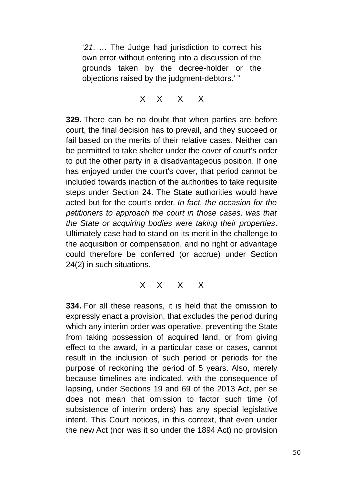'*21*. … The Judge had jurisdiction to correct his own error without entering into a discussion of the grounds taken by the decree-holder or the objections raised by the judgment-debtors.' "

X X X X

**329.** There can be no doubt that when parties are before court, the final decision has to prevail, and they succeed or fail based on the merits of their relative cases. Neither can be permitted to take shelter under the cover of court's order to put the other party in a disadvantageous position. If one has enjoyed under the court's cover, that period cannot be included towards inaction of the authorities to take requisite steps under Section 24. The State authorities would have acted but for the court's order. *In fact, the occasion for the petitioners to approach the court in those cases, was that the State or acquiring bodies were taking their properties*. Ultimately case had to stand on its merit in the challenge to the acquisition or compensation, and no right or advantage could therefore be conferred (or accrue) under Section 24(2) in such situations.

X X X X

**334.** For all these reasons, it is held that the omission to expressly enact a provision, that excludes the period during which any interim order was operative, preventing the State from taking possession of acquired land, or from giving effect to the award, in a particular case or cases, cannot result in the inclusion of such period or periods for the purpose of reckoning the period of 5 years. Also, merely because timelines are indicated, with the consequence of lapsing, under Sections 19 and 69 of the 2013 Act, per se does not mean that omission to factor such time (of subsistence of interim orders) has any special legislative intent. This Court notices, in this context, that even under the new Act (nor was it so under the 1894 Act) no provision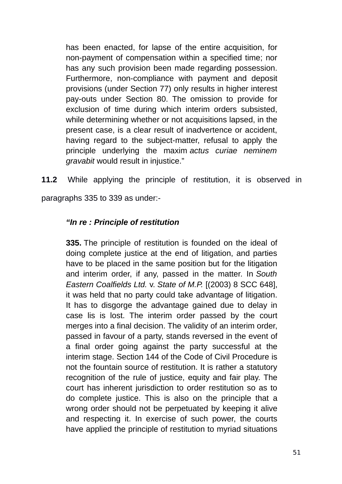has been enacted, for lapse of the entire acquisition, for non-payment of compensation within a specified time; nor has any such provision been made regarding possession. Furthermore, non-compliance with payment and deposit provisions (under Section 77) only results in higher interest pay-outs under Section 80. The omission to provide for exclusion of time during which interim orders subsisted, while determining whether or not acquisitions lapsed, in the present case, is a clear result of inadvertence or accident, having regard to the subject-matter, refusal to apply the principle underlying the maxim *actus curiae neminem gravabit* would result in injustice."

**11.2** While applying the principle of restitution, it is observed in paragraphs 335 to 339 as under:-

## *"In re : Principle of restitution*

**335.** The principle of restitution is founded on the ideal of doing complete justice at the end of litigation, and parties have to be placed in the same position but for the litigation and interim order, if any, passed in the matter. In *South Eastern Coalfields Ltd.* v. *State of M.P.* [(2003) 8 SCC 648], it was held that no party could take advantage of litigation. It has to disgorge the advantage gained due to delay in case lis is lost. The interim order passed by the court merges into a final decision. The validity of an interim order, passed in favour of a party, stands reversed in the event of a final order going against the party successful at the interim stage. Section 144 of the Code of Civil Procedure is not the fountain source of restitution. It is rather a statutory recognition of the rule of justice, equity and fair play. The court has inherent jurisdiction to order restitution so as to do complete justice. This is also on the principle that a wrong order should not be perpetuated by keeping it alive and respecting it. In exercise of such power, the courts have applied the principle of restitution to myriad situations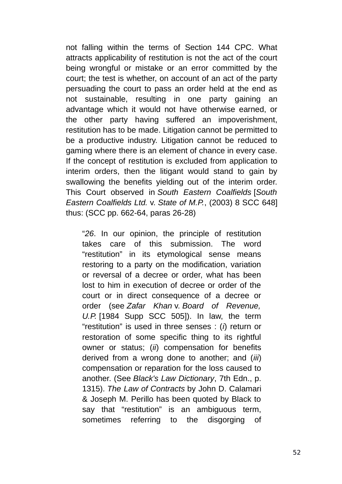not falling within the terms of Section 144 CPC. What attracts applicability of restitution is not the act of the court being wrongful or mistake or an error committed by the court; the test is whether, on account of an act of the party persuading the court to pass an order held at the end as not sustainable, resulting in one party gaining an advantage which it would not have otherwise earned, or the other party having suffered an impoverishment, restitution has to be made. Litigation cannot be permitted to be a productive industry. Litigation cannot be reduced to gaming where there is an element of chance in every case. If the concept of restitution is excluded from application to interim orders, then the litigant would stand to gain by swallowing the benefits yielding out of the interim order. This Court observed in *South Eastern Coalfields* [*South Eastern Coalfields Ltd.* v. *State of M.P.*, (2003) 8 SCC 648] thus: (SCC pp. 662-64, paras 26-28)

"*26*. In our opinion, the principle of restitution takes care of this submission. The word "restitution" in its etymological sense means restoring to a party on the modification, variation or reversal of a decree or order, what has been lost to him in execution of decree or order of the court or in direct consequence of a decree or order (see *Zafar Khan* v. *Board of Revenue, U.P.* [1984 Supp SCC 505]). In law, the term "restitution" is used in three senses : (*i*) return or restoration of some specific thing to its rightful owner or status; (*ii*) compensation for benefits derived from a wrong done to another; and (*iii*) compensation or reparation for the loss caused to another. (See *Black's Law Dictionary*, 7th Edn., p. 1315). *The Law of Contracts* by John D. Calamari & Joseph M. Perillo has been quoted by Black to say that "restitution" is an ambiguous term, sometimes referring to the disgorging of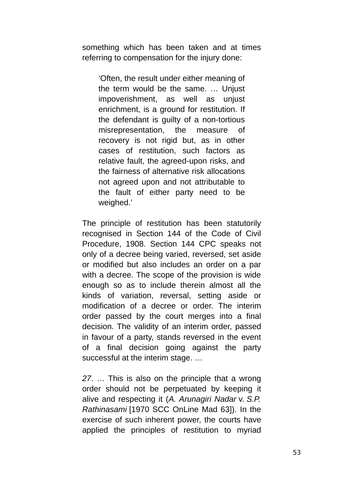something which has been taken and at times referring to compensation for the injury done:

'Often, the result under either meaning of the term would be the same. … Unjust impoverishment, as well as unjust enrichment, is a ground for restitution. If the defendant is guilty of a non-tortious misrepresentation, the measure of recovery is not rigid but, as in other cases of restitution, such factors as relative fault, the agreed-upon risks, and the fairness of alternative risk allocations not agreed upon and not attributable to the fault of either party need to be weighed.'

The principle of restitution has been statutorily recognised in Section 144 of the Code of Civil Procedure, 1908. Section 144 CPC speaks not only of a decree being varied, reversed, set aside or modified but also includes an order on a par with a decree. The scope of the provision is wide enough so as to include therein almost all the kinds of variation, reversal, setting aside or modification of a decree or order. The interim order passed by the court merges into a final decision. The validity of an interim order, passed in favour of a party, stands reversed in the event of a final decision going against the party successful at the interim stage. …

*27*. … This is also on the principle that a wrong order should not be perpetuated by keeping it alive and respecting it (*A. Arunagiri Nadar* v. *S.P. Rathinasami* [1970 SCC OnLine Mad 63]). In the exercise of such inherent power, the courts have applied the principles of restitution to myriad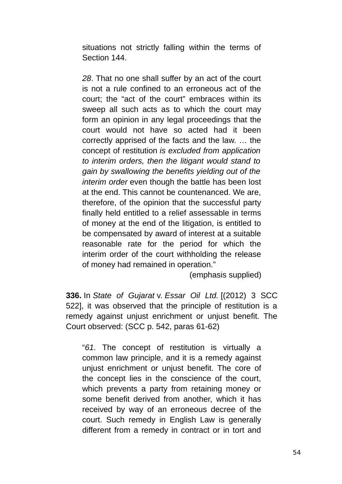situations not strictly falling within the terms of Section 144.

*28*. That no one shall suffer by an act of the court is not a rule confined to an erroneous act of the court; the "act of the court" embraces within its sweep all such acts as to which the court may form an opinion in any legal proceedings that the court would not have so acted had it been correctly apprised of the facts and the law. … the concept of restitution *is excluded from application to interim orders, then the litigant would stand to gain by swallowing the benefits yielding out of the interim order* even though the battle has been lost at the end. This cannot be countenanced. We are, therefore, of the opinion that the successful party finally held entitled to a relief assessable in terms of money at the end of the litigation, is entitled to be compensated by award of interest at a suitable reasonable rate for the period for which the interim order of the court withholding the release of money had remained in operation."

(emphasis supplied)

**336.** In *State of Gujarat* v. *Essar Oil Ltd.* [(2012) 3 SCC 522], it was observed that the principle of restitution is a remedy against unjust enrichment or unjust benefit. The Court observed: (SCC p. 542, paras 61-62)

"*61*. The concept of restitution is virtually a common law principle, and it is a remedy against unjust enrichment or unjust benefit. The core of the concept lies in the conscience of the court, which prevents a party from retaining money or some benefit derived from another, which it has received by way of an erroneous decree of the court. Such remedy in English Law is generally different from a remedy in contract or in tort and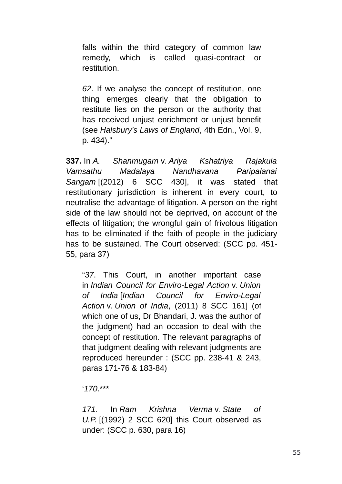falls within the third category of common law remedy, which is called quasi-contract or restitution.

*62*. If we analyse the concept of restitution, one thing emerges clearly that the obligation to restitute lies on the person or the authority that has received unjust enrichment or unjust benefit (see *Halsbury's Laws of England*, 4th Edn., Vol. 9, p. 434)."

**337.** In *A. Shanmugam* v. *Ariya Kshatriya Rajakula Vamsathu Madalaya Nandhavana Paripalanai Sangam* [(2012) 6 SCC 430], it was stated that restitutionary jurisdiction is inherent in every court, to neutralise the advantage of litigation. A person on the right side of the law should not be deprived, on account of the effects of litigation; the wrongful gain of frivolous litigation has to be eliminated if the faith of people in the judiciary has to be sustained. The Court observed: (SCC pp. 451- 55, para 37)

"*37*. This Court, in another important case in *Indian Council for Enviro-Legal Action* v. *Union of India* [*Indian Council for Enviro-Legal Action* v. *Union of India*, (2011) 8 SCC 161] (of which one of us, Dr Bhandari, J. was the author of the judgment) had an occasion to deal with the concept of restitution. The relevant paragraphs of that judgment dealing with relevant judgments are reproduced hereunder : (SCC pp. 238-41 & 243, paras 171-76 & 183-84)

'*170*.\*\*\*

*171*. In *Ram Krishna Verma* v. *State of U.P.* [(1992) 2 SCC 620] this Court observed as under: (SCC p. 630, para 16)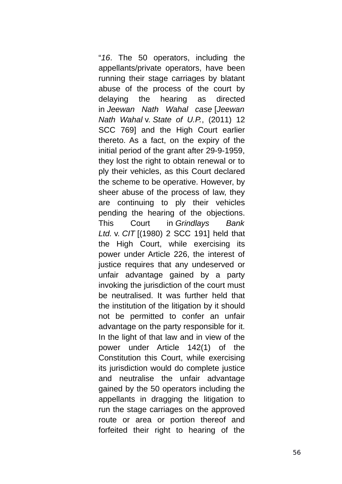"*16*. The 50 operators, including the appellants/private operators, have been running their stage carriages by blatant abuse of the process of the court by delaying the hearing as directed in *Jeewan Nath Wahal case* [*Jeewan Nath Wahal* v. *State of U.P.*, (2011) 12 SCC 769] and the High Court earlier thereto. As a fact, on the expiry of the initial period of the grant after 29-9-1959, they lost the right to obtain renewal or to ply their vehicles, as this Court declared the scheme to be operative. However, by sheer abuse of the process of law, they are continuing to ply their vehicles pending the hearing of the objections. This Court in *Grindlays Bank Ltd.* v. *CIT* [(1980) 2 SCC 191] held that the High Court, while exercising its power under Article 226, the interest of justice requires that any undeserved or unfair advantage gained by a party invoking the jurisdiction of the court must be neutralised. It was further held that the institution of the litigation by it should not be permitted to confer an unfair advantage on the party responsible for it. In the light of that law and in view of the power under Article 142(1) of the Constitution this Court, while exercising its jurisdiction would do complete justice and neutralise the unfair advantage gained by the 50 operators including the appellants in dragging the litigation to run the stage carriages on the approved route or area or portion thereof and forfeited their right to hearing of the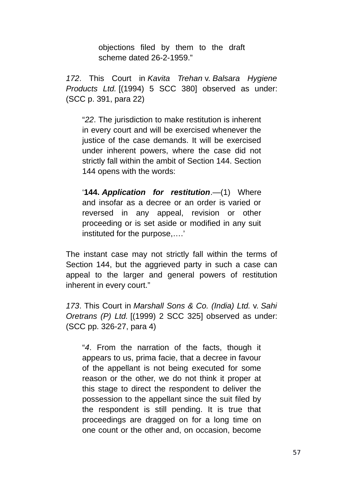objections filed by them to the draft scheme dated 26-2-1959."

*172*. This Court in *Kavita Trehan* v. *Balsara Hygiene Products Ltd.* [(1994) 5 SCC 380] observed as under: (SCC p. 391, para 22)

"*22*. The jurisdiction to make restitution is inherent in every court and will be exercised whenever the justice of the case demands. It will be exercised under inherent powers, where the case did not strictly fall within the ambit of Section 144. Section 144 opens with the words:

'**144.** *Application for restitution*.—(1) Where and insofar as a decree or an order is varied or reversed in any appeal, revision or other proceeding or is set aside or modified in any suit instituted for the purpose,….'

The instant case may not strictly fall within the terms of Section 144, but the aggrieved party in such a case can appeal to the larger and general powers of restitution inherent in every court."

*173*. This Court in *Marshall Sons & Co. (India) Ltd.* v. *Sahi Oretrans (P) Ltd.* [(1999) 2 SCC 325] observed as under: (SCC pp. 326-27, para 4)

"*4*. From the narration of the facts, though it appears to us, prima facie, that a decree in favour of the appellant is not being executed for some reason or the other, we do not think it proper at this stage to direct the respondent to deliver the possession to the appellant since the suit filed by the respondent is still pending. It is true that proceedings are dragged on for a long time on one count or the other and, on occasion, become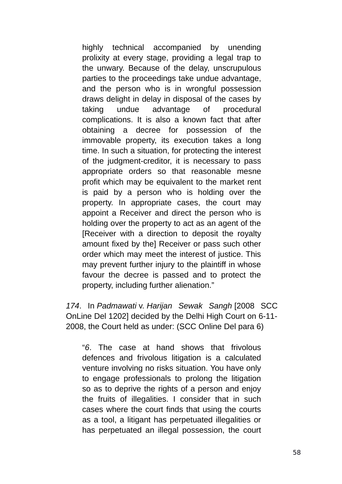highly technical accompanied by unending prolixity at every stage, providing a legal trap to the unwary. Because of the delay, unscrupulous parties to the proceedings take undue advantage, and the person who is in wrongful possession draws delight in delay in disposal of the cases by taking undue advantage of procedural complications. It is also a known fact that after obtaining a decree for possession of the immovable property, its execution takes a long time. In such a situation, for protecting the interest of the judgment-creditor, it is necessary to pass appropriate orders so that reasonable mesne profit which may be equivalent to the market rent is paid by a person who is holding over the property. In appropriate cases, the court may appoint a Receiver and direct the person who is holding over the property to act as an agent of the [Receiver with a direction to deposit the royalty amount fixed by the] Receiver or pass such other order which may meet the interest of justice. This may prevent further injury to the plaintiff in whose favour the decree is passed and to protect the property, including further alienation."

*174*. In *Padmawati* v. *Harijan Sewak Sangh* [2008 SCC OnLine Del 1202] decided by the Delhi High Court on 6-11- 2008, the Court held as under: (SCC Online Del para 6)

"*6*. The case at hand shows that frivolous defences and frivolous litigation is a calculated venture involving no risks situation. You have only to engage professionals to prolong the litigation so as to deprive the rights of a person and enjoy the fruits of illegalities. I consider that in such cases where the court finds that using the courts as a tool, a litigant has perpetuated illegalities or has perpetuated an illegal possession, the court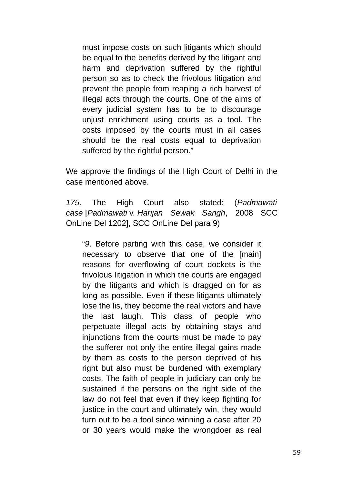must impose costs on such litigants which should be equal to the benefits derived by the litigant and harm and deprivation suffered by the rightful person so as to check the frivolous litigation and prevent the people from reaping a rich harvest of illegal acts through the courts. One of the aims of every judicial system has to be to discourage unjust enrichment using courts as a tool. The costs imposed by the courts must in all cases should be the real costs equal to deprivation suffered by the rightful person."

We approve the findings of the High Court of Delhi in the case mentioned above.

*175*. The High Court also stated: (*Padmawati case* [*Padmawati* v. *Harijan Sewak Sangh*, 2008 SCC OnLine Del 1202], SCC OnLine Del para 9)

"*9*. Before parting with this case, we consider it necessary to observe that one of the [main] reasons for overflowing of court dockets is the frivolous litigation in which the courts are engaged by the litigants and which is dragged on for as long as possible. Even if these litigants ultimately lose the lis, they become the real victors and have the last laugh. This class of people who perpetuate illegal acts by obtaining stays and injunctions from the courts must be made to pay the sufferer not only the entire illegal gains made by them as costs to the person deprived of his right but also must be burdened with exemplary costs. The faith of people in judiciary can only be sustained if the persons on the right side of the law do not feel that even if they keep fighting for justice in the court and ultimately win, they would turn out to be a fool since winning a case after 20 or 30 years would make the wrongdoer as real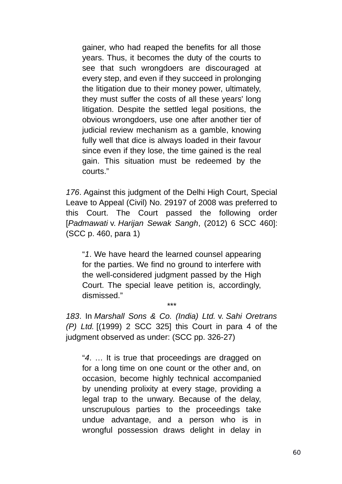gainer, who had reaped the benefits for all those years. Thus, it becomes the duty of the courts to see that such wrongdoers are discouraged at every step, and even if they succeed in prolonging the litigation due to their money power, ultimately, they must suffer the costs of all these years' long litigation. Despite the settled legal positions, the obvious wrongdoers, use one after another tier of judicial review mechanism as a gamble, knowing fully well that dice is always loaded in their favour since even if they lose, the time gained is the real gain. This situation must be redeemed by the courts."

*176*. Against this judgment of the Delhi High Court, Special Leave to Appeal (Civil) No. 29197 of 2008 was preferred to this Court. The Court passed the following order [*Padmawati* v. *Harijan Sewak Sangh*, (2012) 6 SCC 460]: (SCC p. 460, para 1)

"*1*. We have heard the learned counsel appearing for the parties. We find no ground to interfere with the well-considered judgment passed by the High Court. The special leave petition is, accordingly, dismissed."

*183*. In *Marshall Sons & Co. (India) Ltd.* v. *Sahi Oretrans (P) Ltd.* [(1999) 2 SCC 325] this Court in para 4 of the judgment observed as under: (SCC pp. 326-27)

\*\*\*

"*4*. … It is true that proceedings are dragged on for a long time on one count or the other and, on occasion, become highly technical accompanied by unending prolixity at every stage, providing a legal trap to the unwary. Because of the delay, unscrupulous parties to the proceedings take undue advantage, and a person who is in wrongful possession draws delight in delay in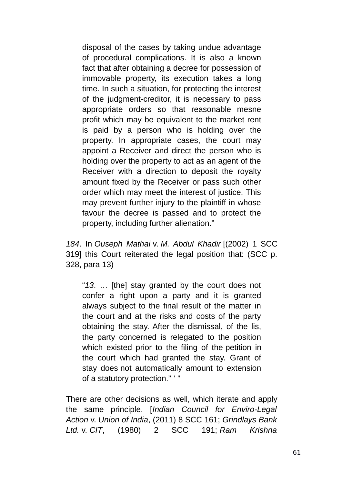disposal of the cases by taking undue advantage of procedural complications. It is also a known fact that after obtaining a decree for possession of immovable property, its execution takes a long time. In such a situation, for protecting the interest of the judgment-creditor, it is necessary to pass appropriate orders so that reasonable mesne profit which may be equivalent to the market rent is paid by a person who is holding over the property. In appropriate cases, the court may appoint a Receiver and direct the person who is holding over the property to act as an agent of the Receiver with a direction to deposit the royalty amount fixed by the Receiver or pass such other order which may meet the interest of justice. This may prevent further injury to the plaintiff in whose favour the decree is passed and to protect the property, including further alienation."

*184*. In *Ouseph Mathai* v. *M. Abdul Khadir* [(2002) 1 SCC 319] this Court reiterated the legal position that: (SCC p. 328, para 13)

"*13*. … [the] stay granted by the court does not confer a right upon a party and it is granted always subject to the final result of the matter in the court and at the risks and costs of the party obtaining the stay. After the dismissal, of the lis, the party concerned is relegated to the position which existed prior to the filing of the petition in the court which had granted the stay. Grant of stay does not automatically amount to extension of a statutory protection." ' "

There are other decisions as well, which iterate and apply the same principle. [*Indian Council for Enviro-Legal Action* v. *Union of India*, (2011) 8 SCC 161; *Grindlays Bank Ltd.* v. *CIT*, (1980) 2 SCC 191; *Ram Krishna*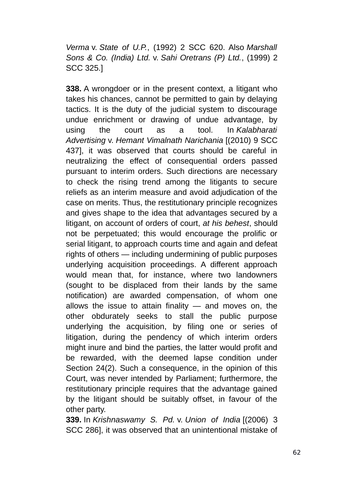*Verma* v. *State of U.P.*, (1992) 2 SCC 620. Also *Marshall Sons & Co. (India) Ltd.* v. *Sahi Oretrans (P) Ltd.*, (1999) 2 SCC 325.]

**338.** A wrongdoer or in the present context, a litigant who takes his chances, cannot be permitted to gain by delaying tactics. It is the duty of the judicial system to discourage undue enrichment or drawing of undue advantage, by using the court as a tool. In *Kalabharati Advertising* v. *Hemant Vimalnath Narichania* [(2010) 9 SCC 437], it was observed that courts should be careful in neutralizing the effect of consequential orders passed pursuant to interim orders. Such directions are necessary to check the rising trend among the litigants to secure reliefs as an interim measure and avoid adjudication of the case on merits. Thus, the restitutionary principle recognizes and gives shape to the idea that advantages secured by a litigant, on account of orders of court, *at his behest*, should not be perpetuated; this would encourage the prolific or serial litigant, to approach courts time and again and defeat rights of others — including undermining of public purposes underlying acquisition proceedings. A different approach would mean that, for instance, where two landowners (sought to be displaced from their lands by the same notification) are awarded compensation, of whom one allows the issue to attain finality — and moves on, the other obdurately seeks to stall the public purpose underlying the acquisition, by filing one or series of litigation, during the pendency of which interim orders might inure and bind the parties, the latter would profit and be rewarded, with the deemed lapse condition under Section 24(2). Such a consequence, in the opinion of this Court, was never intended by Parliament; furthermore, the restitutionary principle requires that the advantage gained by the litigant should be suitably offset, in favour of the other party.

**339.** In *Krishnaswamy S. Pd.* v. *Union of India* [(2006) 3 SCC 286], it was observed that an unintentional mistake of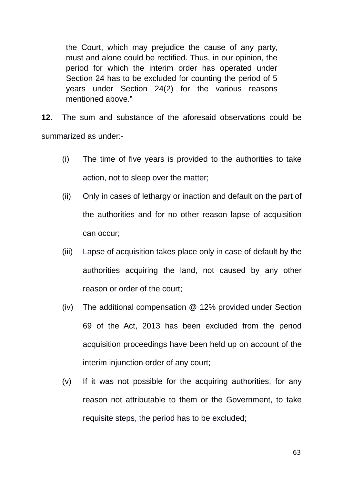the Court, which may prejudice the cause of any party, must and alone could be rectified. Thus, in our opinion, the period for which the interim order has operated under Section 24 has to be excluded for counting the period of 5 years under Section 24(2) for the various reasons mentioned above."

**12.** The sum and substance of the aforesaid observations could be summarized as under:-

- (i) The time of five years is provided to the authorities to take action, not to sleep over the matter;
- (ii) Only in cases of lethargy or inaction and default on the part of the authorities and for no other reason lapse of acquisition can occur;
- (iii) Lapse of acquisition takes place only in case of default by the authorities acquiring the land, not caused by any other reason or order of the court;
- (iv) The additional compensation @ 12% provided under Section 69 of the Act, 2013 has been excluded from the period acquisition proceedings have been held up on account of the interim injunction order of any court;
- (v) If it was not possible for the acquiring authorities, for any reason not attributable to them or the Government, to take requisite steps, the period has to be excluded;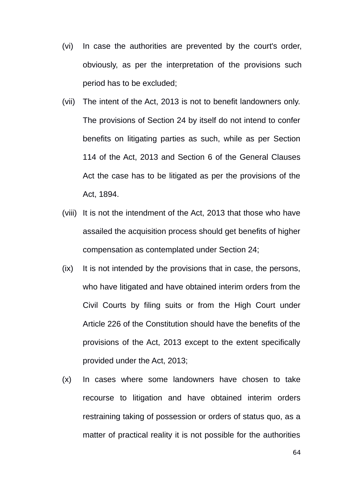- (vi) In case the authorities are prevented by the court's order, obviously, as per the interpretation of the provisions such period has to be excluded;
- (vii) The intent of the Act, 2013 is not to benefit landowners only. The provisions of Section 24 by itself do not intend to confer benefits on litigating parties as such, while as per Section 114 of the Act, 2013 and Section 6 of the General Clauses Act the case has to be litigated as per the provisions of the Act, 1894.
- (viii) It is not the intendment of the Act, 2013 that those who have assailed the acquisition process should get benefits of higher compensation as contemplated under Section 24;
- (ix) It is not intended by the provisions that in case, the persons, who have litigated and have obtained interim orders from the Civil Courts by filing suits or from the High Court under Article 226 of the Constitution should have the benefits of the provisions of the Act, 2013 except to the extent specifically provided under the Act, 2013;
- (x) In cases where some landowners have chosen to take recourse to litigation and have obtained interim orders restraining taking of possession or orders of status quo, as a matter of practical reality it is not possible for the authorities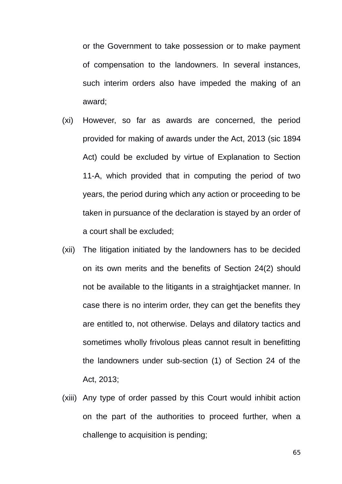or the Government to take possession or to make payment of compensation to the landowners. In several instances, such interim orders also have impeded the making of an award;

- (xi) However, so far as awards are concerned, the period provided for making of awards under the Act, 2013 (sic 1894 Act) could be excluded by virtue of Explanation to Section 11-A, which provided that in computing the period of two years, the period during which any action or proceeding to be taken in pursuance of the declaration is stayed by an order of a court shall be excluded;
- (xii) The litigation initiated by the landowners has to be decided on its own merits and the benefits of Section 24(2) should not be available to the litigants in a straightjacket manner. In case there is no interim order, they can get the benefits they are entitled to, not otherwise. Delays and dilatory tactics and sometimes wholly frivolous pleas cannot result in benefitting the landowners under sub-section (1) of Section 24 of the Act, 2013;
- (xiii) Any type of order passed by this Court would inhibit action on the part of the authorities to proceed further, when a challenge to acquisition is pending;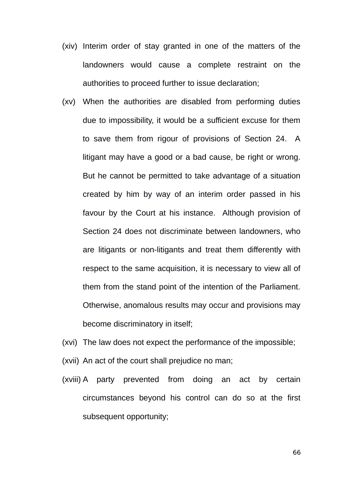- (xiv) Interim order of stay granted in one of the matters of the landowners would cause a complete restraint on the authorities to proceed further to issue declaration;
- (xv) When the authorities are disabled from performing duties due to impossibility, it would be a sufficient excuse for them to save them from rigour of provisions of Section 24. A litigant may have a good or a bad cause, be right or wrong. But he cannot be permitted to take advantage of a situation created by him by way of an interim order passed in his favour by the Court at his instance. Although provision of Section 24 does not discriminate between landowners, who are litigants or non-litigants and treat them differently with respect to the same acquisition, it is necessary to view all of them from the stand point of the intention of the Parliament. Otherwise, anomalous results may occur and provisions may become discriminatory in itself;
- (xvi) The law does not expect the performance of the impossible;
- (xvii) An act of the court shall prejudice no man;
- (xviii) A party prevented from doing an act by certain circumstances beyond his control can do so at the first subsequent opportunity;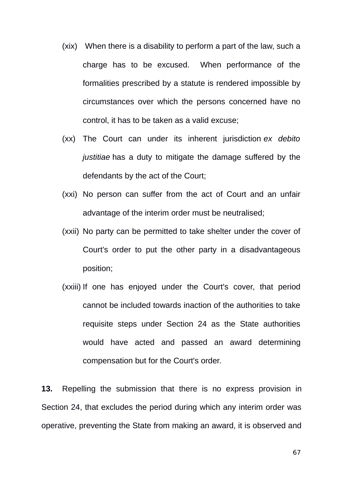- (xix) When there is a disability to perform a part of the law, such a charge has to be excused. When performance of the formalities prescribed by a statute is rendered impossible by circumstances over which the persons concerned have no control, it has to be taken as a valid excuse;
- (xx) The Court can under its inherent jurisdiction *ex debito justitiae* has a duty to mitigate the damage suffered by the defendants by the act of the Court;
- (xxi) No person can suffer from the act of Court and an unfair advantage of the interim order must be neutralised;
- (xxii) No party can be permitted to take shelter under the cover of Court's order to put the other party in a disadvantageous position;
- (xxiii) If one has enjoyed under the Court's cover, that period cannot be included towards inaction of the authorities to take requisite steps under Section 24 as the State authorities would have acted and passed an award determining compensation but for the Court's order.

**13.** Repelling the submission that there is no express provision in Section 24, that excludes the period during which any interim order was operative, preventing the State from making an award, it is observed and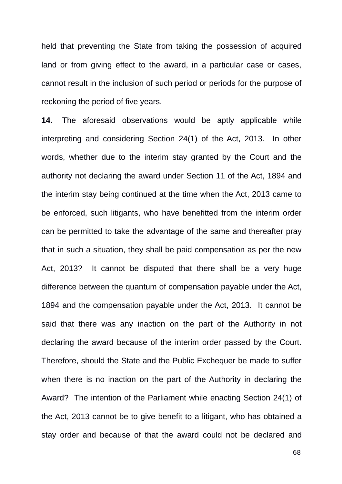held that preventing the State from taking the possession of acquired land or from giving effect to the award, in a particular case or cases, cannot result in the inclusion of such period or periods for the purpose of reckoning the period of five years.

**14.** The aforesaid observations would be aptly applicable while interpreting and considering Section 24(1) of the Act, 2013. In other words, whether due to the interim stay granted by the Court and the authority not declaring the award under Section 11 of the Act, 1894 and the interim stay being continued at the time when the Act, 2013 came to be enforced, such litigants, who have benefitted from the interim order can be permitted to take the advantage of the same and thereafter pray that in such a situation, they shall be paid compensation as per the new Act, 2013? It cannot be disputed that there shall be a very huge difference between the quantum of compensation payable under the Act, 1894 and the compensation payable under the Act, 2013. It cannot be said that there was any inaction on the part of the Authority in not declaring the award because of the interim order passed by the Court. Therefore, should the State and the Public Exchequer be made to suffer when there is no inaction on the part of the Authority in declaring the Award? The intention of the Parliament while enacting Section 24(1) of the Act, 2013 cannot be to give benefit to a litigant, who has obtained a stay order and because of that the award could not be declared and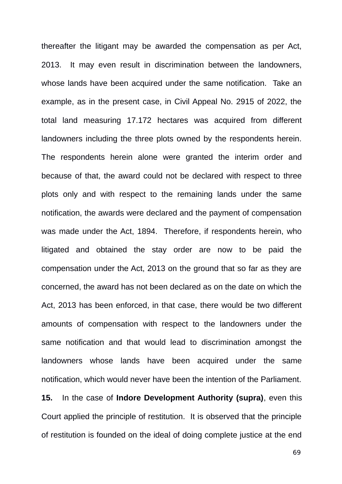thereafter the litigant may be awarded the compensation as per Act, 2013. It may even result in discrimination between the landowners, whose lands have been acquired under the same notification. Take an example, as in the present case, in Civil Appeal No. 2915 of 2022, the total land measuring 17.172 hectares was acquired from different landowners including the three plots owned by the respondents herein. The respondents herein alone were granted the interim order and because of that, the award could not be declared with respect to three plots only and with respect to the remaining lands under the same notification, the awards were declared and the payment of compensation was made under the Act, 1894. Therefore, if respondents herein, who litigated and obtained the stay order are now to be paid the compensation under the Act, 2013 on the ground that so far as they are concerned, the award has not been declared as on the date on which the Act, 2013 has been enforced, in that case, there would be two different amounts of compensation with respect to the landowners under the same notification and that would lead to discrimination amongst the landowners whose lands have been acquired under the same notification, which would never have been the intention of the Parliament. **15.** In the case of **Indore Development Authority (supra)**, even this Court applied the principle of restitution. It is observed that the principle

of restitution is founded on the ideal of doing complete justice at the end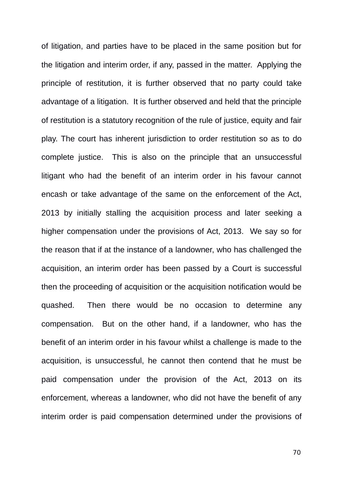of litigation, and parties have to be placed in the same position but for the litigation and interim order, if any, passed in the matter. Applying the principle of restitution, it is further observed that no party could take advantage of a litigation. It is further observed and held that the principle of restitution is a statutory recognition of the rule of justice, equity and fair play. The court has inherent jurisdiction to order restitution so as to do complete justice. This is also on the principle that an unsuccessful litigant who had the benefit of an interim order in his favour cannot encash or take advantage of the same on the enforcement of the Act, 2013 by initially stalling the acquisition process and later seeking a higher compensation under the provisions of Act, 2013. We say so for the reason that if at the instance of a landowner, who has challenged the acquisition, an interim order has been passed by a Court is successful then the proceeding of acquisition or the acquisition notification would be quashed. Then there would be no occasion to determine any compensation. But on the other hand, if a landowner, who has the benefit of an interim order in his favour whilst a challenge is made to the acquisition, is unsuccessful, he cannot then contend that he must be paid compensation under the provision of the Act, 2013 on its enforcement, whereas a landowner, who did not have the benefit of any interim order is paid compensation determined under the provisions of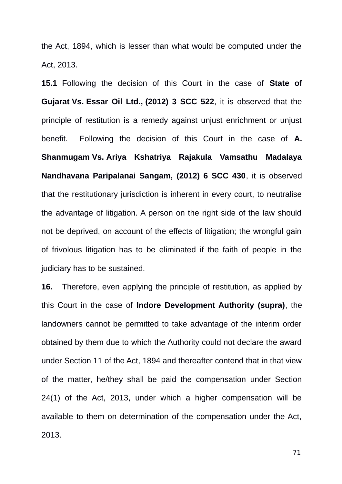the Act, 1894, which is lesser than what would be computed under the Act, 2013.

**15.1** Following the decision of this Court in the case of **State of Gujarat Vs. Essar Oil Ltd., (2012) 3 SCC 522**, it is observed that the principle of restitution is a remedy against unjust enrichment or unjust benefit. Following the decision of this Court in the case of **A. Shanmugam Vs. Ariya Kshatriya Rajakula Vamsathu Madalaya Nandhavana Paripalanai Sangam, (2012) 6 SCC 430**, it is observed that the restitutionary jurisdiction is inherent in every court, to neutralise the advantage of litigation. A person on the right side of the law should not be deprived, on account of the effects of litigation; the wrongful gain of frivolous litigation has to be eliminated if the faith of people in the judiciary has to be sustained.

**16.** Therefore, even applying the principle of restitution, as applied by this Court in the case of **Indore Development Authority (supra)**, the landowners cannot be permitted to take advantage of the interim order obtained by them due to which the Authority could not declare the award under Section 11 of the Act, 1894 and thereafter contend that in that view of the matter, he/they shall be paid the compensation under Section 24(1) of the Act, 2013, under which a higher compensation will be available to them on determination of the compensation under the Act, 2013.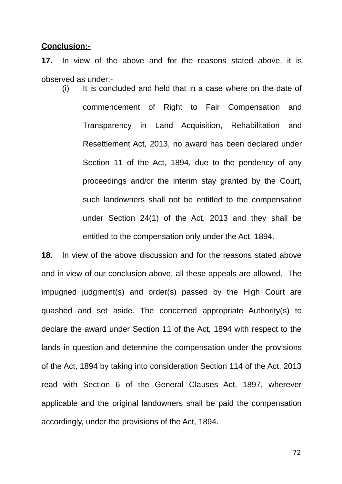## **Conclusion:-**

**17.** In view of the above and for the reasons stated above, it is observed as under:-

(i) It is concluded and held that in a case where on the date of commencement of Right to Fair Compensation and Transparency in Land Acquisition, Rehabilitation and Resettlement Act, 2013, no award has been declared under Section 11 of the Act, 1894, due to the pendency of any proceedings and/or the interim stay granted by the Court, such landowners shall not be entitled to the compensation under Section 24(1) of the Act, 2013 and they shall be entitled to the compensation only under the Act, 1894.

**18.** In view of the above discussion and for the reasons stated above and in view of our conclusion above, all these appeals are allowed. The impugned judgment(s) and order(s) passed by the High Court are quashed and set aside. The concerned appropriate Authority(s) to declare the award under Section 11 of the Act, 1894 with respect to the lands in question and determine the compensation under the provisions of the Act, 1894 by taking into consideration Section 114 of the Act, 2013 read with Section 6 of the General Clauses Act, 1897, wherever applicable and the original landowners shall be paid the compensation accordingly, under the provisions of the Act, 1894.